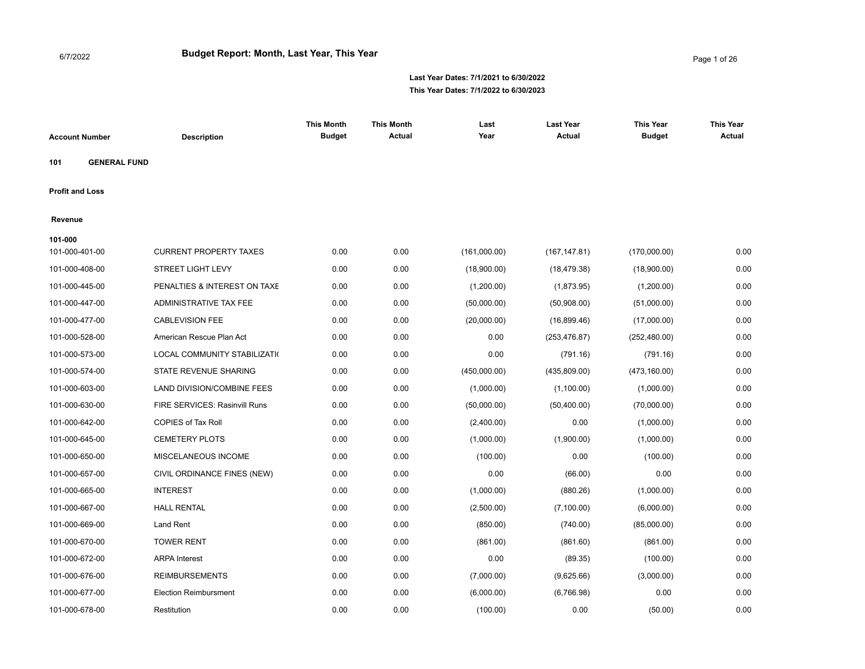| <b>Account Number</b>  |                     | <b>Description</b>            | <b>This Month</b><br><b>Budget</b> | <b>This Month</b><br><b>Actual</b> | Last<br>Year | <b>Last Year</b><br><b>Actual</b> | <b>This Year</b><br><b>Budget</b> | <b>This Year</b><br><b>Actual</b> |
|------------------------|---------------------|-------------------------------|------------------------------------|------------------------------------|--------------|-----------------------------------|-----------------------------------|-----------------------------------|
| 101                    | <b>GENERAL FUND</b> |                               |                                    |                                    |              |                                   |                                   |                                   |
| <b>Profit and Loss</b> |                     |                               |                                    |                                    |              |                                   |                                   |                                   |
| Revenue                |                     |                               |                                    |                                    |              |                                   |                                   |                                   |
| 101-000                |                     |                               |                                    |                                    |              |                                   |                                   |                                   |
| 101-000-401-00         |                     | <b>CURRENT PROPERTY TAXES</b> | 0.00                               | 0.00                               | (161,000.00) | (167, 147.81)                     | (170,000.00)                      | 0.00                              |
| 101-000-408-00         |                     | <b>STREET LIGHT LEVY</b>      | 0.00                               | 0.00                               | (18,900.00)  | (18, 479.38)                      | (18,900.00)                       | 0.00                              |
| 101-000-445-00         |                     | PENALTIES & INTEREST ON TAXE  | 0.00                               | 0.00                               | (1,200.00)   | (1,873.95)                        | (1,200.00)                        | 0.00                              |
| 101-000-447-00         |                     | ADMINISTRATIVE TAX FEE        | 0.00                               | 0.00                               | (50,000.00)  | (50,908.00)                       | (51,000.00)                       | 0.00                              |
| 101-000-477-00         |                     | <b>CABLEVISION FEE</b>        | 0.00                               | 0.00                               | (20,000.00)  | (16,899.46)                       | (17,000.00)                       | 0.00                              |
| 101-000-528-00         |                     | American Rescue Plan Act      | 0.00                               | 0.00                               | 0.00         | (253, 476.87)                     | (252, 480.00)                     | 0.00                              |
| 101-000-573-00         |                     | LOCAL COMMUNITY STABILIZATI(  | 0.00                               | 0.00                               | 0.00         | (791.16)                          | (791.16)                          | 0.00                              |
| 101-000-574-00         |                     | STATE REVENUE SHARING         | 0.00                               | 0.00                               | (450,000.00) | (435,809.00)                      | (473, 160.00)                     | 0.00                              |
| 101-000-603-00         |                     | LAND DIVISION/COMBINE FEES    | 0.00                               | 0.00                               | (1,000.00)   | (1,100.00)                        | (1,000.00)                        | 0.00                              |
| 101-000-630-00         |                     | FIRE SERVICES: Rasinvill Runs | 0.00                               | 0.00                               | (50,000.00)  | (50, 400.00)                      | (70,000.00)                       | 0.00                              |
| 101-000-642-00         |                     | COPIES of Tax Roll            | 0.00                               | 0.00                               | (2,400.00)   | 0.00                              | (1,000.00)                        | 0.00                              |
| 101-000-645-00         |                     | <b>CEMETERY PLOTS</b>         | 0.00                               | 0.00                               | (1,000.00)   | (1,900.00)                        | (1,000.00)                        | 0.00                              |
| 101-000-650-00         |                     | MISCELANEOUS INCOME           | 0.00                               | 0.00                               | (100.00)     | 0.00                              | (100.00)                          | 0.00                              |
| 101-000-657-00         |                     | CIVIL ORDINANCE FINES (NEW)   | 0.00                               | 0.00                               | 0.00         | (66.00)                           | 0.00                              | 0.00                              |
| 101-000-665-00         |                     | <b>INTEREST</b>               | 0.00                               | 0.00                               | (1,000.00)   | (880.26)                          | (1,000.00)                        | 0.00                              |
| 101-000-667-00         |                     | <b>HALL RENTAL</b>            | 0.00                               | 0.00                               | (2,500.00)   | (7, 100.00)                       | (6,000.00)                        | 0.00                              |
| 101-000-669-00         |                     | Land Rent                     | 0.00                               | 0.00                               | (850.00)     | (740.00)                          | (85,000.00)                       | 0.00                              |
| 101-000-670-00         |                     | <b>TOWER RENT</b>             | 0.00                               | 0.00                               | (861.00)     | (861.60)                          | (861.00)                          | 0.00                              |
| 101-000-672-00         |                     | <b>ARPA</b> Interest          | 0.00                               | 0.00                               | 0.00         | (89.35)                           | (100.00)                          | 0.00                              |
| 101-000-676-00         |                     | <b>REIMBURSEMENTS</b>         | 0.00                               | 0.00                               | (7,000.00)   | (9,625.66)                        | (3,000.00)                        | 0.00                              |
| 101-000-677-00         |                     | <b>Election Reimbursment</b>  | 0.00                               | 0.00                               | (6,000.00)   | (6,766.98)                        | 0.00                              | 0.00                              |
| 101-000-678-00         |                     | Restitution                   | 0.00                               | 0.00                               | (100.00)     | 0.00                              | (50.00)                           | 0.00                              |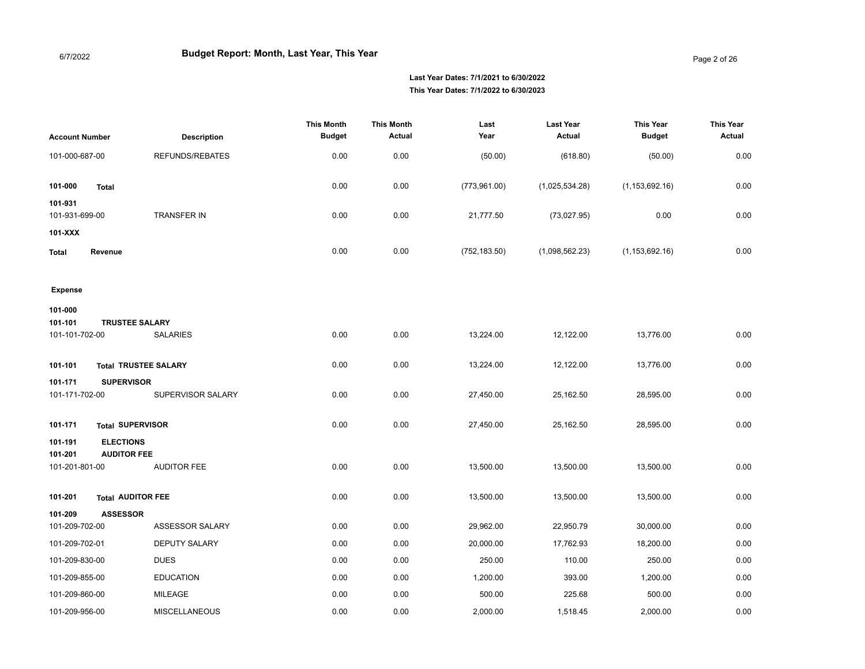Page 2 of 26

| <b>Account Number</b>              | <b>Description</b>                       | <b>This Month</b><br><b>Budget</b> | <b>This Month</b><br><b>Actual</b> | Last<br>Year  | <b>Last Year</b><br><b>Actual</b> | <b>This Year</b><br><b>Budget</b> | <b>This Year</b><br><b>Actual</b> |
|------------------------------------|------------------------------------------|------------------------------------|------------------------------------|---------------|-----------------------------------|-----------------------------------|-----------------------------------|
| 101-000-687-00                     | <b>REFUNDS/REBATES</b>                   | 0.00                               | 0.00                               | (50.00)       | (618.80)                          | (50.00)                           | 0.00                              |
| 101-000<br><b>Total</b><br>101-931 |                                          | 0.00                               | 0.00                               | (773,961.00)  | (1,025,534.28)                    | (1, 153, 692.16)                  | 0.00                              |
| 101-931-699-00                     | TRANSFER IN                              | 0.00                               | 0.00                               | 21,777.50     | (73,027.95)                       | 0.00                              | 0.00                              |
| 101-XXX                            |                                          |                                    |                                    |               |                                   |                                   |                                   |
| Revenue<br><b>Total</b>            |                                          | 0.00                               | 0.00                               | (752, 183.50) | (1,098,562.23)                    | (1, 153, 692.16)                  | 0.00                              |
|                                    |                                          |                                    |                                    |               |                                   |                                   |                                   |
| <b>Expense</b>                     |                                          |                                    |                                    |               |                                   |                                   |                                   |
| 101-000                            |                                          |                                    |                                    |               |                                   |                                   |                                   |
| 101-101<br>101-101-702-00          | <b>TRUSTEE SALARY</b><br><b>SALARIES</b> | 0.00                               | 0.00                               | 13,224.00     | 12,122.00                         | 13,776.00                         | 0.00                              |
|                                    |                                          |                                    |                                    |               |                                   |                                   |                                   |
| 101-101                            | <b>Total TRUSTEE SALARY</b>              | 0.00                               | 0.00                               | 13,224.00     | 12,122.00                         | 13,776.00                         | 0.00                              |
| 101-171                            | <b>SUPERVISOR</b>                        |                                    |                                    |               |                                   |                                   |                                   |
| 101-171-702-00                     | SUPERVISOR SALARY                        | 0.00                               | 0.00                               | 27,450.00     | 25,162.50                         | 28,595.00                         | 0.00                              |
| 101-171                            | <b>Total SUPERVISOR</b>                  | 0.00                               | 0.00                               | 27,450.00     | 25,162.50                         | 28,595.00                         | 0.00                              |
| 101-191                            | <b>ELECTIONS</b>                         |                                    |                                    |               |                                   |                                   |                                   |
| 101-201<br>101-201-801-00          | <b>AUDITOR FEE</b><br><b>AUDITOR FEE</b> | 0.00                               | 0.00                               | 13,500.00     | 13,500.00                         | 13,500.00                         | 0.00                              |
|                                    |                                          |                                    |                                    |               |                                   |                                   |                                   |
| 101-201                            | <b>Total AUDITOR FEE</b>                 | 0.00                               | 0.00                               | 13,500.00     | 13,500.00                         | 13,500.00                         | 0.00                              |
| 101-209                            | <b>ASSESSOR</b>                          |                                    |                                    |               |                                   |                                   |                                   |
| 101-209-702-00                     | ASSESSOR SALARY                          | 0.00                               | 0.00                               | 29,962.00     | 22,950.79                         | 30,000.00                         | 0.00                              |
| 101-209-702-01                     | <b>DEPUTY SALARY</b>                     | 0.00                               | 0.00                               | 20,000.00     | 17,762.93                         | 18,200.00                         | 0.00                              |
| 101-209-830-00                     | <b>DUES</b>                              | 0.00                               | 0.00                               | 250.00        | 110.00                            | 250.00                            | 0.00                              |
| 101-209-855-00                     | <b>EDUCATION</b>                         | 0.00                               | 0.00                               | 1,200.00      | 393.00                            | 1,200.00                          | 0.00                              |
| 101-209-860-00                     | <b>MILEAGE</b>                           | 0.00                               | 0.00                               | 500.00        | 225.68                            | 500.00                            | 0.00                              |
| 101-209-956-00                     | <b>MISCELLANEOUS</b>                     | 0.00                               | 0.00                               | 2,000.00      | 1,518.45                          | 2,000.00                          | 0.00                              |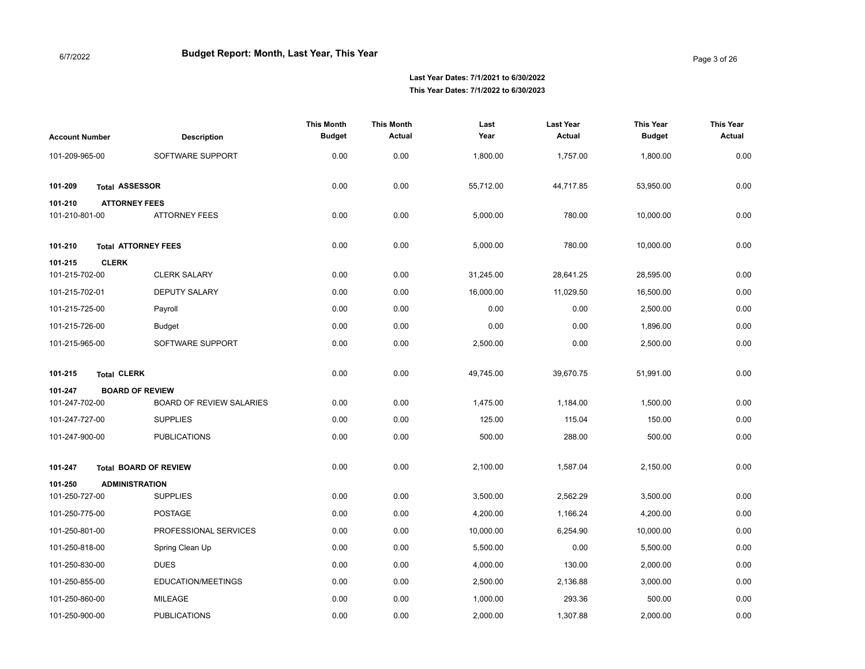| <b>Account Number</b>     | <b>Description</b>                           | <b>This Month</b><br><b>Budget</b> | <b>This Month</b><br><b>Actual</b> | Last<br>Year | <b>Last Year</b><br><b>Actual</b> | <b>This Year</b><br><b>Budget</b> | <b>This Year</b><br><b>Actual</b> |
|---------------------------|----------------------------------------------|------------------------------------|------------------------------------|--------------|-----------------------------------|-----------------------------------|-----------------------------------|
| 101-209-965-00            | SOFTWARE SUPPORT                             | 0.00                               | 0.00                               | 1,800.00     | 1,757.00                          | 1,800.00                          | 0.00                              |
| 101-209                   | <b>Total ASSESSOR</b>                        | 0.00                               | 0.00                               | 55,712.00    | 44,717.85                         | 53,950.00                         | 0.00                              |
| 101-210<br>101-210-801-00 | <b>ATTORNEY FEES</b><br><b>ATTORNEY FEES</b> | 0.00                               | 0.00                               | 5,000.00     | 780.00                            | 10,000.00                         | 0.00                              |
| 101-210                   | <b>Total ATTORNEY FEES</b>                   | 0.00                               | 0.00                               | 5,000.00     | 780.00                            | 10,000.00                         | 0.00                              |
| 101-215<br>101-215-702-00 | <b>CLERK</b><br><b>CLERK SALARY</b>          | 0.00                               | 0.00                               | 31,245.00    | 28,641.25                         | 28,595.00                         | 0.00                              |
| 101-215-702-01            | <b>DEPUTY SALARY</b>                         | 0.00                               | 0.00                               | 16,000.00    | 11,029.50                         | 16,500.00                         | 0.00                              |
| 101-215-725-00            | Payroll                                      | 0.00                               | 0.00                               | 0.00         | 0.00                              | 2,500.00                          | 0.00                              |
| 101-215-726-00            | <b>Budget</b>                                | 0.00                               | 0.00                               | 0.00         | 0.00                              | 1,896.00                          | 0.00                              |
| 101-215-965-00            | SOFTWARE SUPPORT                             | 0.00                               | 0.00                               | 2,500.00     | 0.00                              | 2,500.00                          | 0.00                              |
| 101-215                   | <b>Total CLERK</b>                           | 0.00                               | 0.00                               | 49,745.00    | 39,670.75                         | 51,991.00                         | 0.00                              |
| 101-247                   | <b>BOARD OF REVIEW</b>                       |                                    |                                    |              |                                   |                                   |                                   |
| 101-247-702-00            | <b>BOARD OF REVIEW SALARIES</b>              | 0.00                               | 0.00                               | 1,475.00     | 1,184.00                          | 1,500.00                          | 0.00                              |
| 101-247-727-00            | <b>SUPPLIES</b>                              | 0.00                               | 0.00                               | 125.00       | 115.04                            | 150.00                            | 0.00                              |
| 101-247-900-00            | <b>PUBLICATIONS</b>                          | 0.00                               | 0.00                               | 500.00       | 288.00                            | 500.00                            | 0.00                              |
| 101-247                   | <b>Total BOARD OF REVIEW</b>                 | 0.00                               | 0.00                               | 2,100.00     | 1,587.04                          | 2,150.00                          | 0.00                              |
| 101-250                   | <b>ADMINISTRATION</b>                        |                                    |                                    |              |                                   |                                   |                                   |
| 101-250-727-00            | <b>SUPPLIES</b>                              | 0.00                               | 0.00                               | 3,500.00     | 2,562.29                          | 3,500.00                          | 0.00                              |
| 101-250-775-00            | <b>POSTAGE</b>                               | 0.00                               | 0.00                               | 4,200.00     | 1,166.24                          | 4,200.00                          | 0.00                              |
| 101-250-801-00            | PROFESSIONAL SERVICES                        | 0.00                               | 0.00                               | 10,000.00    | 6,254.90                          | 10,000.00                         | 0.00                              |
| 101-250-818-00            | Spring Clean Up                              | 0.00                               | 0.00                               | 5,500.00     | 0.00                              | 5,500.00                          | 0.00                              |
| 101-250-830-00            | <b>DUES</b>                                  | 0.00                               | 0.00                               | 4,000.00     | 130.00                            | 2,000.00                          | 0.00                              |
| 101-250-855-00            | EDUCATION/MEETINGS                           | 0.00                               | 0.00                               | 2,500.00     | 2,136.88                          | 3,000.00                          | 0.00                              |
| 101-250-860-00            | <b>MILEAGE</b>                               | 0.00                               | 0.00                               | 1,000.00     | 293.36                            | 500.00                            | 0.00                              |
| 101-250-900-00            | <b>PUBLICATIONS</b>                          | 0.00                               | 0.00                               | 2.000.00     | 1,307.88                          | 2,000.00                          | 0.00                              |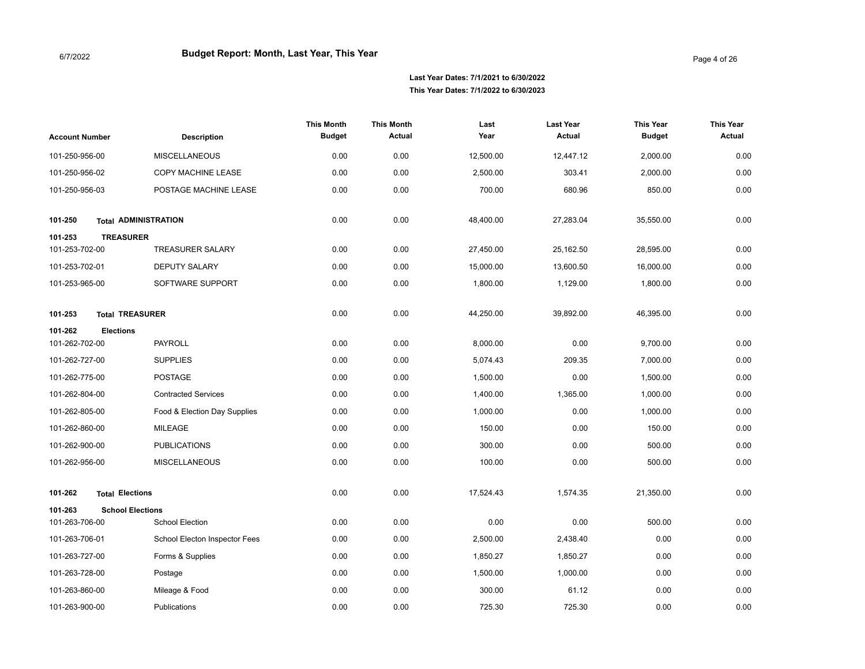| <b>Account Number</b>                         | <b>Description</b>            | <b>This Month</b><br><b>Budget</b> | <b>This Month</b><br>Actual | Last<br>Year          | <b>Last Year</b><br>Actual | <b>This Year</b><br><b>Budget</b> | <b>This Year</b><br>Actual |
|-----------------------------------------------|-------------------------------|------------------------------------|-----------------------------|-----------------------|----------------------------|-----------------------------------|----------------------------|
| 101-250-956-00                                | <b>MISCELLANEOUS</b>          | 0.00                               | 0.00                        | 12,500.00             | 12,447.12                  | 2,000.00                          | 0.00                       |
| 101-250-956-02                                | COPY MACHINE LEASE            | 0.00                               | 0.00                        | 2,500.00              | 303.41                     | 2,000.00                          | 0.00                       |
| 101-250-956-03                                | POSTAGE MACHINE LEASE         | 0.00                               | 0.00                        | 700.00                | 680.96                     | 850.00                            | 0.00                       |
| 101-250                                       | <b>Total ADMINISTRATION</b>   | 0.00                               | 0.00                        | 48,400.00             | 27,283.04                  | 35,550.00                         | 0.00                       |
| 101-253<br><b>TREASURER</b><br>101-253-702-00 | <b>TREASURER SALARY</b>       | 0.00                               | 0.00                        | 27,450.00             | 25,162.50                  | 28,595.00                         | 0.00                       |
| 101-253-702-01                                | <b>DEPUTY SALARY</b>          | 0.00                               | 0.00                        |                       |                            | 16,000.00                         | 0.00                       |
| 101-253-965-00                                | SOFTWARE SUPPORT              | 0.00                               | 0.00                        | 15,000.00<br>1,800.00 | 13,600.50<br>1,129.00      | 1,800.00                          | 0.00                       |
|                                               |                               |                                    |                             |                       |                            |                                   |                            |
| 101-253<br><b>Total TREASURER</b>             |                               | 0.00                               | 0.00                        | 44,250.00             | 39,892.00                  | 46,395.00                         | 0.00                       |
| 101-262<br><b>Elections</b>                   |                               |                                    |                             |                       |                            |                                   |                            |
| 101-262-702-00                                | <b>PAYROLL</b>                | 0.00                               | 0.00                        | 8,000.00              | 0.00                       | 9,700.00                          | 0.00                       |
| 101-262-727-00                                | <b>SUPPLIES</b>               | 0.00                               | 0.00                        | 5,074.43              | 209.35                     | 7,000.00                          | 0.00                       |
| 101-262-775-00                                | <b>POSTAGE</b>                | 0.00                               | 0.00                        | 1,500.00              | 0.00                       | 1,500.00                          | 0.00                       |
| 101-262-804-00                                | <b>Contracted Services</b>    | 0.00                               | 0.00                        | 1,400.00              | 1,365.00                   | 1,000.00                          | 0.00                       |
| 101-262-805-00                                | Food & Election Day Supplies  | 0.00                               | 0.00                        | 1,000.00              | 0.00                       | 1,000.00                          | 0.00                       |
| 101-262-860-00                                | <b>MILEAGE</b>                | 0.00                               | 0.00                        | 150.00                | 0.00                       | 150.00                            | 0.00                       |
| 101-262-900-00                                | <b>PUBLICATIONS</b>           | 0.00                               | 0.00                        | 300.00                | 0.00                       | 500.00                            | 0.00                       |
| 101-262-956-00                                | <b>MISCELLANEOUS</b>          | 0.00                               | 0.00                        | 100.00                | 0.00                       | 500.00                            | 0.00                       |
| 101-262<br><b>Total Elections</b>             |                               | 0.00                               | 0.00                        | 17,524.43             | 1,574.35                   | 21,350.00                         | 0.00                       |
| 101-263<br><b>School Elections</b>            |                               |                                    |                             |                       |                            |                                   |                            |
| 101-263-706-00                                | <b>School Election</b>        | 0.00                               | 0.00                        | 0.00                  | 0.00                       | 500.00                            | 0.00                       |
| 101-263-706-01                                | School Electon Inspector Fees | 0.00                               | 0.00                        | 2,500.00              | 2,438.40                   | 0.00                              | 0.00                       |
| 101-263-727-00                                | Forms & Supplies              | 0.00                               | 0.00                        | 1,850.27              | 1,850.27                   | 0.00                              | 0.00                       |
| 101-263-728-00                                | Postage                       | 0.00                               | 0.00                        | 1,500.00              | 1,000.00                   | 0.00                              | 0.00                       |
| 101-263-860-00                                | Mileage & Food                | 0.00                               | 0.00                        | 300.00                | 61.12                      | 0.00                              | 0.00                       |
| 101-263-900-00                                | <b>Publications</b>           | 0.00                               | 0.00                        | 725.30                | 725.30                     | 0.00                              | 0.00                       |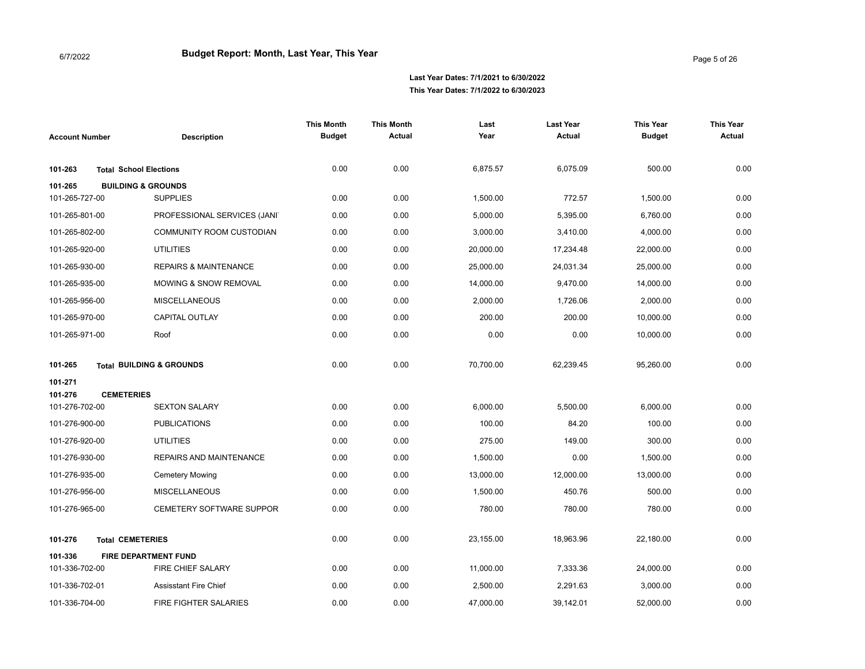| <b>Account Number</b>                   | <b>Description</b>                  | <b>This Month</b><br><b>Budget</b> | <b>This Month</b><br>Actual | Last<br>Year | <b>Last Year</b><br>Actual | <b>This Year</b><br><b>Budget</b> | <b>This Year</b><br><b>Actual</b> |
|-----------------------------------------|-------------------------------------|------------------------------------|-----------------------------|--------------|----------------------------|-----------------------------------|-----------------------------------|
| 101-263                                 | <b>Total School Elections</b>       | 0.00                               | 0.00                        | 6,875.57     | 6,075.09                   | 500.00                            | 0.00                              |
| 101-265                                 | <b>BUILDING &amp; GROUNDS</b>       |                                    |                             |              |                            |                                   |                                   |
| 101-265-727-00                          | <b>SUPPLIES</b>                     | 0.00                               | 0.00                        | 1,500.00     | 772.57                     | 1,500.00                          | 0.00                              |
| 101-265-801-00                          | PROFESSIONAL SERVICES (JANI)        | 0.00                               | 0.00                        | 5,000.00     | 5,395.00                   | 6,760.00                          | 0.00                              |
| 101-265-802-00                          | <b>COMMUNITY ROOM CUSTODIAN</b>     | 0.00                               | 0.00                        | 3,000.00     | 3,410.00                   | 4,000.00                          | 0.00                              |
| 101-265-920-00                          | <b>UTILITIES</b>                    | 0.00                               | 0.00                        | 20,000.00    | 17,234.48                  | 22,000.00                         | 0.00                              |
| 101-265-930-00                          | <b>REPAIRS &amp; MAINTENANCE</b>    | 0.00                               | 0.00                        | 25,000.00    | 24,031.34                  | 25,000.00                         | 0.00                              |
| 101-265-935-00                          | <b>MOWING &amp; SNOW REMOVAL</b>    | 0.00                               | 0.00                        | 14,000.00    | 9,470.00                   | 14,000.00                         | 0.00                              |
| 101-265-956-00                          | <b>MISCELLANEOUS</b>                | 0.00                               | 0.00                        | 2,000.00     | 1,726.06                   | 2,000.00                          | 0.00                              |
| 101-265-970-00                          | <b>CAPITAL OUTLAY</b>               | 0.00                               | 0.00                        | 200.00       | 200.00                     | 10,000.00                         | 0.00                              |
| 101-265-971-00                          | Roof                                | 0.00                               | 0.00                        | 0.00         | 0.00                       | 10,000.00                         | 0.00                              |
| 101-265                                 | <b>Total BUILDING &amp; GROUNDS</b> | 0.00                               | 0.00                        | 70,700.00    | 62,239.45                  | 95,260.00                         | 0.00                              |
| 101-271<br><b>CEMETERIES</b><br>101-276 |                                     |                                    |                             |              |                            |                                   |                                   |
| 101-276-702-00                          | <b>SEXTON SALARY</b>                | 0.00                               | 0.00                        | 6,000.00     | 5,500.00                   | 6,000.00                          | 0.00                              |
| 101-276-900-00                          | <b>PUBLICATIONS</b>                 | 0.00                               | 0.00                        | 100.00       | 84.20                      | 100.00                            | 0.00                              |
| 101-276-920-00                          | <b>UTILITIES</b>                    | 0.00                               | 0.00                        | 275.00       | 149.00                     | 300.00                            | 0.00                              |
| 101-276-930-00                          | <b>REPAIRS AND MAINTENANCE</b>      | 0.00                               | 0.00                        | 1,500.00     | 0.00                       | 1,500.00                          | 0.00                              |
| 101-276-935-00                          | <b>Cemetery Mowing</b>              | 0.00                               | 0.00                        | 13,000.00    | 12,000.00                  | 13,000.00                         | 0.00                              |
| 101-276-956-00                          | <b>MISCELLANEOUS</b>                | 0.00                               | 0.00                        | 1,500.00     | 450.76                     | 500.00                            | 0.00                              |
| 101-276-965-00                          | <b>CEMETERY SOFTWARE SUPPOR</b>     | 0.00                               | 0.00                        | 780.00       | 780.00                     | 780.00                            | 0.00                              |
| 101-276                                 | <b>Total CEMETERIES</b>             | 0.00                               | 0.00                        | 23,155.00    | 18,963.96                  | 22,180.00                         | 0.00                              |
| 101-336                                 | <b>FIRE DEPARTMENT FUND</b>         |                                    |                             |              |                            |                                   |                                   |
| 101-336-702-00                          | FIRE CHIEF SALARY                   | 0.00                               | 0.00                        | 11,000.00    | 7,333.36                   | 24,000.00                         | 0.00                              |
| 101-336-702-01                          | <b>Assisstant Fire Chief</b>        | 0.00                               | 0.00                        | 2,500.00     | 2,291.63                   | 3,000.00                          | 0.00                              |
| 101-336-704-00                          | FIRE FIGHTER SALARIES               | 0.00                               | 0.00                        | 47,000.00    | 39,142.01                  | 52,000.00                         | 0.00                              |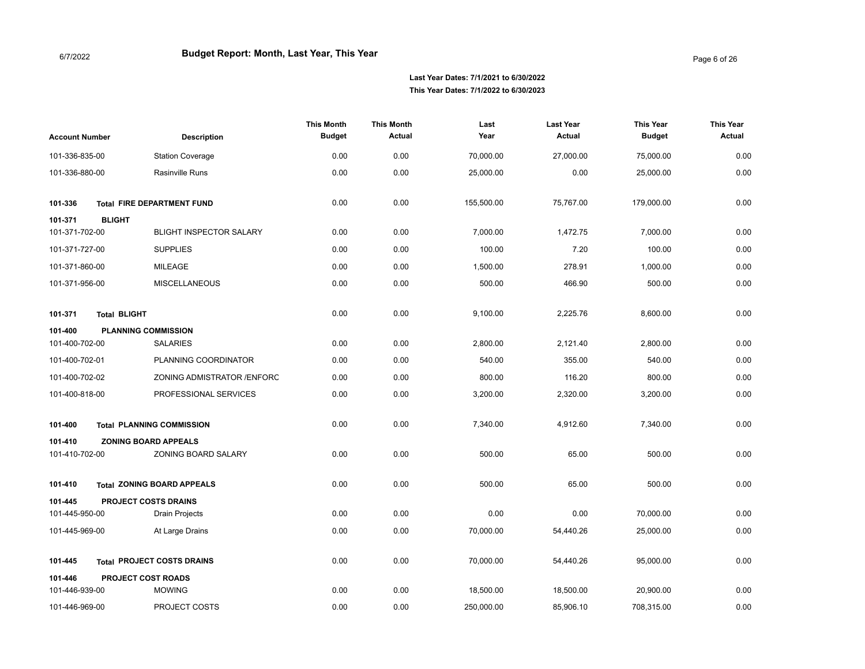| <b>Account Number</b> |                                   | <b>Description</b>             | <b>This Month</b><br><b>Budget</b> | <b>This Month</b><br>Actual | Last<br>Year | <b>Last Year</b><br>Actual | <b>This Year</b><br><b>Budget</b> | <b>This Year</b><br><b>Actual</b> |
|-----------------------|-----------------------------------|--------------------------------|------------------------------------|-----------------------------|--------------|----------------------------|-----------------------------------|-----------------------------------|
| 101-336-835-00        |                                   | <b>Station Coverage</b>        | 0.00                               | 0.00                        | 70,000.00    | 27,000.00                  | 75,000.00                         | 0.00                              |
| 101-336-880-00        |                                   | Rasinville Runs                | 0.00                               | 0.00                        | 25,000.00    | 0.00                       | 25,000.00                         | 0.00                              |
| 101-336               | <b>Total FIRE DEPARTMENT FUND</b> |                                | 0.00                               | 0.00                        | 155,500.00   | 75,767.00                  | 179,000.00                        | 0.00                              |
| 101-371               | <b>BLIGHT</b>                     |                                |                                    |                             |              |                            |                                   |                                   |
| 101-371-702-00        |                                   | <b>BLIGHT INSPECTOR SALARY</b> | 0.00                               | 0.00                        | 7,000.00     | 1,472.75                   | 7,000.00                          | 0.00                              |
| 101-371-727-00        |                                   | <b>SUPPLIES</b>                | 0.00                               | 0.00                        | 100.00       | 7.20                       | 100.00                            | 0.00                              |
| 101-371-860-00        |                                   | <b>MILEAGE</b>                 | 0.00                               | 0.00                        | 1,500.00     | 278.91                     | 1,000.00                          | 0.00                              |
| 101-371-956-00        |                                   | <b>MISCELLANEOUS</b>           | 0.00                               | 0.00                        | 500.00       | 466.90                     | 500.00                            | 0.00                              |
| 101-371               | <b>Total BLIGHT</b>               |                                | 0.00                               | 0.00                        | 9,100.00     | 2,225.76                   | 8,600.00                          | 0.00                              |
| 101-400               | <b>PLANNING COMMISSION</b>        |                                |                                    |                             |              |                            |                                   |                                   |
| 101-400-702-00        |                                   | <b>SALARIES</b>                | 0.00                               | 0.00                        | 2,800.00     | 2,121.40                   | 2,800.00                          | 0.00                              |
| 101-400-702-01        |                                   | PLANNING COORDINATOR           | 0.00                               | 0.00                        | 540.00       | 355.00                     | 540.00                            | 0.00                              |
| 101-400-702-02        |                                   | ZONING ADMISTRATOR /ENFORC     | 0.00                               | 0.00                        | 800.00       | 116.20                     | 800.00                            | 0.00                              |
| 101-400-818-00        |                                   | PROFESSIONAL SERVICES          | 0.00                               | 0.00                        | 3,200.00     | 2,320.00                   | 3,200.00                          | 0.00                              |
| 101-400               | <b>Total PLANNING COMMISSION</b>  |                                | 0.00                               | 0.00                        | 7,340.00     | 4,912.60                   | 7,340.00                          | 0.00                              |
| 101-410               | <b>ZONING BOARD APPEALS</b>       |                                |                                    |                             |              |                            |                                   |                                   |
| 101-410-702-00        |                                   | ZONING BOARD SALARY            | 0.00                               | 0.00                        | 500.00       | 65.00                      | 500.00                            | 0.00                              |
| 101-410               | <b>Total ZONING BOARD APPEALS</b> |                                | 0.00                               | 0.00                        | 500.00       | 65.00                      | 500.00                            | 0.00                              |
| 101-445               | <b>PROJECT COSTS DRAINS</b>       |                                |                                    |                             |              |                            |                                   |                                   |
| 101-445-950-00        |                                   | <b>Drain Projects</b>          | 0.00                               | 0.00                        | 0.00         | 0.00                       | 70,000.00                         | 0.00                              |
| 101-445-969-00        |                                   | At Large Drains                | 0.00                               | 0.00                        | 70,000.00    | 54,440.26                  | 25,000.00                         | 0.00                              |
| 101-445               | <b>Total PROJECT COSTS DRAINS</b> |                                | 0.00                               | 0.00                        | 70,000.00    | 54,440.26                  | 95,000.00                         | 0.00                              |
| 101-446               | <b>PROJECT COST ROADS</b>         |                                |                                    |                             |              |                            |                                   |                                   |
| 101-446-939-00        |                                   | <b>MOWING</b>                  | 0.00                               | 0.00                        | 18,500.00    | 18,500.00                  | 20,900.00                         | 0.00                              |
| 101-446-969-00        |                                   | PROJECT COSTS                  | 0.00                               | 0.00                        | 250,000.00   | 85,906.10                  | 708,315.00                        | 0.00                              |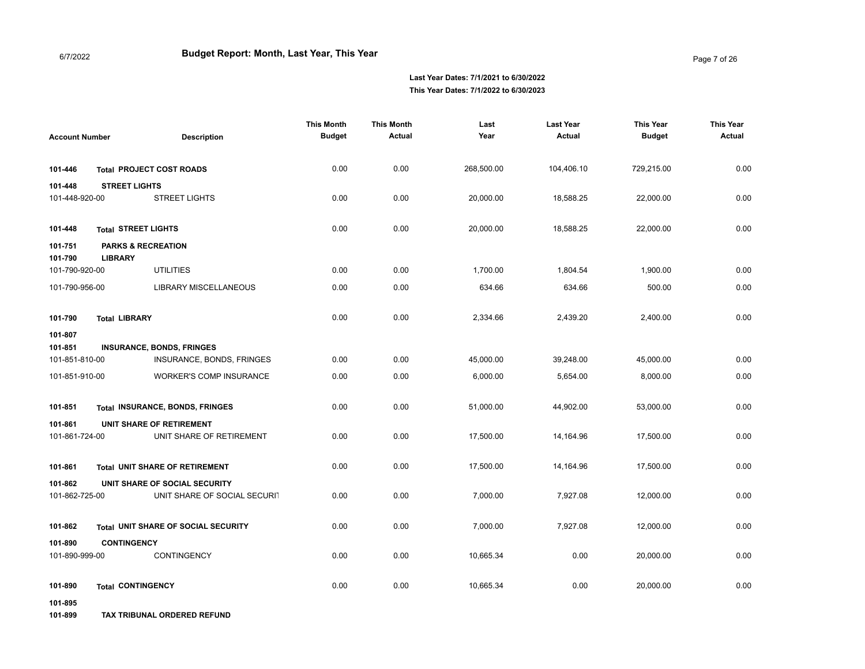|                           |                                                 |                                            | <b>This Month</b> | <b>This Month</b> | Last       | <b>Last Year</b> | <b>This Year</b> | <b>This Year</b> |
|---------------------------|-------------------------------------------------|--------------------------------------------|-------------------|-------------------|------------|------------------|------------------|------------------|
| <b>Account Number</b>     |                                                 | <b>Description</b>                         | <b>Budget</b>     | Actual            | Year       | Actual           | <b>Budget</b>    | <b>Actual</b>    |
|                           |                                                 |                                            |                   |                   |            |                  |                  |                  |
| 101-446                   |                                                 | <b>Total PROJECT COST ROADS</b>            | 0.00              | 0.00              | 268,500.00 | 104,406.10       | 729,215.00       | 0.00             |
| 101-448                   | <b>STREET LIGHTS</b>                            |                                            |                   |                   |            |                  |                  |                  |
| 101-448-920-00            |                                                 | <b>STREET LIGHTS</b>                       | 0.00              | 0.00              | 20,000.00  | 18,588.25        | 22,000.00        | 0.00             |
|                           |                                                 |                                            |                   |                   |            |                  |                  |                  |
| 101-448                   | <b>Total STREET LIGHTS</b>                      |                                            | 0.00              | 0.00              | 20,000.00  | 18,588.25        | 22,000.00        | 0.00             |
| 101-751<br>101-790        | <b>PARKS &amp; RECREATION</b><br><b>LIBRARY</b> |                                            |                   |                   |            |                  |                  |                  |
| 101-790-920-00            |                                                 | <b>UTILITIES</b>                           | 0.00              | 0.00              | 1,700.00   | 1,804.54         | 1,900.00         | 0.00             |
| 101-790-956-00            |                                                 | <b>LIBRARY MISCELLANEOUS</b>               | 0.00              | 0.00              | 634.66     | 634.66           | 500.00           | 0.00             |
|                           |                                                 |                                            |                   |                   |            |                  |                  |                  |
| 101-790                   | <b>Total LIBRARY</b>                            |                                            | 0.00              | 0.00              | 2,334.66   | 2,439.20         | 2,400.00         | 0.00             |
| 101-807                   |                                                 |                                            |                   |                   |            |                  |                  |                  |
| 101-851<br>101-851-810-00 |                                                 | <b>INSURANCE, BONDS, FRINGES</b>           | 0.00              | 0.00              | 45,000.00  |                  |                  | 0.00             |
|                           |                                                 | INSURANCE, BONDS, FRINGES                  |                   |                   |            | 39,248.00        | 45,000.00        |                  |
| 101-851-910-00            |                                                 | <b>WORKER'S COMP INSURANCE</b>             | 0.00              | 0.00              | 6,000.00   | 5,654.00         | 8,000.00         | 0.00             |
| 101-851                   |                                                 | <b>Total INSURANCE, BONDS, FRINGES</b>     | 0.00              | 0.00              | 51,000.00  | 44,902.00        | 53,000.00        | 0.00             |
| 101-861                   |                                                 | UNIT SHARE OF RETIREMENT                   |                   |                   |            |                  |                  |                  |
| 101-861-724-00            |                                                 | UNIT SHARE OF RETIREMENT                   | 0.00              | 0.00              | 17,500.00  | 14,164.96        | 17,500.00        | 0.00             |
|                           |                                                 |                                            |                   |                   |            |                  |                  |                  |
| 101-861                   |                                                 | <b>Total UNIT SHARE OF RETIREMENT</b>      | 0.00              | 0.00              | 17,500.00  | 14,164.96        | 17,500.00        | 0.00             |
| 101-862                   |                                                 | UNIT SHARE OF SOCIAL SECURITY              |                   |                   |            |                  |                  |                  |
| 101-862-725-00            |                                                 | UNIT SHARE OF SOCIAL SECURIT               | 0.00              | 0.00              | 7,000.00   | 7,927.08         | 12,000.00        | 0.00             |
| 101-862                   |                                                 | <b>Total UNIT SHARE OF SOCIAL SECURITY</b> | 0.00              | 0.00              | 7,000.00   | 7,927.08         | 12,000.00        | 0.00             |
| 101-890                   | <b>CONTINGENCY</b>                              |                                            |                   |                   |            |                  |                  |                  |
| 101-890-999-00            |                                                 | CONTINGENCY                                | 0.00              | 0.00              | 10,665.34  | 0.00             | 20,000.00        | 0.00             |
|                           |                                                 |                                            |                   |                   |            |                  |                  |                  |
| 101-890                   | <b>Total CONTINGENCY</b>                        |                                            | 0.00              | 0.00              | 10.665.34  | 0.00             | 20,000.00        | 0.00             |
| 101-895                   |                                                 |                                            |                   |                   |            |                  |                  |                  |
|                           |                                                 |                                            |                   |                   |            |                  |                  |                  |

**101-899 TAX TRIBUNAL ORDERED REFUND**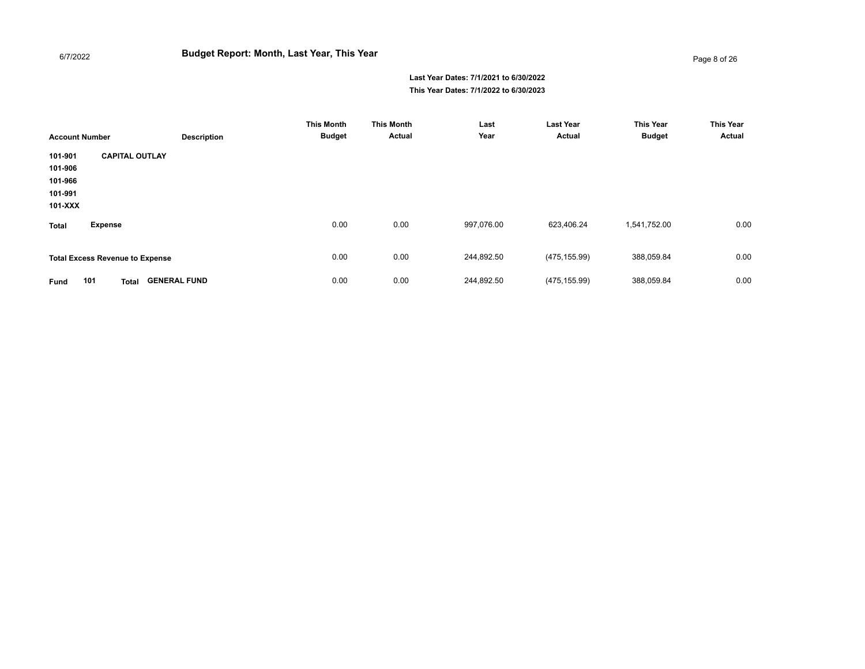| <b>Account Number</b>                               |                                            | <b>Description</b> | <b>This Month</b><br><b>Budget</b> | <b>This Month</b><br>Actual | Last<br>Year | <b>Last Year</b><br>Actual | <b>This Year</b><br><b>Budget</b> | <b>This Year</b><br>Actual |
|-----------------------------------------------------|--------------------------------------------|--------------------|------------------------------------|-----------------------------|--------------|----------------------------|-----------------------------------|----------------------------|
| 101-901<br>101-906<br>101-966<br>101-991<br>101-XXX | <b>CAPITAL OUTLAY</b>                      |                    |                                    |                             |              |                            |                                   |                            |
| <b>Total</b>                                        | <b>Expense</b>                             |                    | 0.00                               | 0.00                        | 997,076.00   | 623,406.24                 | 1,541,752.00                      | 0.00                       |
|                                                     | <b>Total Excess Revenue to Expense</b>     |                    | 0.00                               | 0.00                        | 244,892.50   | (475, 155.99)              | 388,059.84                        | 0.00                       |
| Fund                                                | 101<br><b>GENERAL FUND</b><br><b>Total</b> |                    | 0.00                               | 0.00                        | 244,892.50   | (475, 155.99)              | 388,059.84                        | 0.00                       |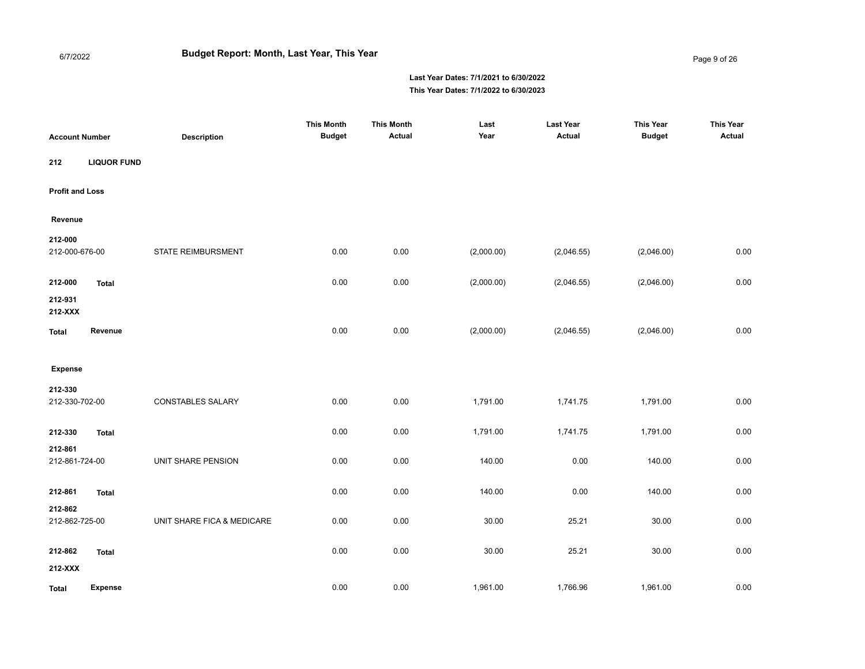Page 9 of 26

| <b>Account Number</b>     |                    | <b>Description</b>         | <b>This Month</b><br><b>Budget</b> | <b>This Month</b><br>Actual | Last<br>Year | <b>Last Year</b><br>Actual | <b>This Year</b><br><b>Budget</b> | <b>This Year</b><br>Actual |
|---------------------------|--------------------|----------------------------|------------------------------------|-----------------------------|--------------|----------------------------|-----------------------------------|----------------------------|
| 212                       | <b>LIQUOR FUND</b> |                            |                                    |                             |              |                            |                                   |                            |
| <b>Profit and Loss</b>    |                    |                            |                                    |                             |              |                            |                                   |                            |
| Revenue                   |                    |                            |                                    |                             |              |                            |                                   |                            |
| 212-000<br>212-000-676-00 |                    | STATE REIMBURSMENT         | 0.00                               | 0.00                        | (2,000.00)   | (2,046.55)                 | (2,046.00)                        | 0.00                       |
| 212-000                   | <b>Total</b>       |                            | 0.00                               | 0.00                        | (2,000.00)   | (2,046.55)                 | (2,046.00)                        | 0.00                       |
| 212-931<br>212-XXX        |                    |                            |                                    |                             |              |                            |                                   |                            |
| <b>Total</b>              | Revenue            |                            | 0.00                               | 0.00                        | (2,000.00)   | (2,046.55)                 | (2,046.00)                        | 0.00                       |
| <b>Expense</b>            |                    |                            |                                    |                             |              |                            |                                   |                            |
| 212-330<br>212-330-702-00 |                    | <b>CONSTABLES SALARY</b>   | 0.00                               | 0.00                        | 1,791.00     | 1,741.75                   | 1,791.00                          | 0.00                       |
| 212-330                   | <b>Total</b>       |                            | 0.00                               | 0.00                        | 1,791.00     | 1,741.75                   | 1,791.00                          | 0.00                       |
| 212-861<br>212-861-724-00 |                    | UNIT SHARE PENSION         | 0.00                               | 0.00                        | 140.00       | 0.00                       | 140.00                            | 0.00                       |
| 212-861                   | <b>Total</b>       |                            | 0.00                               | 0.00                        | 140.00       | 0.00                       | 140.00                            | 0.00                       |
| 212-862<br>212-862-725-00 |                    | UNIT SHARE FICA & MEDICARE | 0.00                               | 0.00                        | 30.00        | 25.21                      | 30.00                             | 0.00                       |
| 212-862<br>212-XXX        | <b>Total</b>       |                            | 0.00                               | 0.00                        | 30.00        | 25.21                      | 30.00                             | 0.00                       |
| <b>Total</b>              | <b>Expense</b>     |                            | 0.00                               | 0.00                        | 1,961.00     | 1,766.96                   | 1,961.00                          | 0.00                       |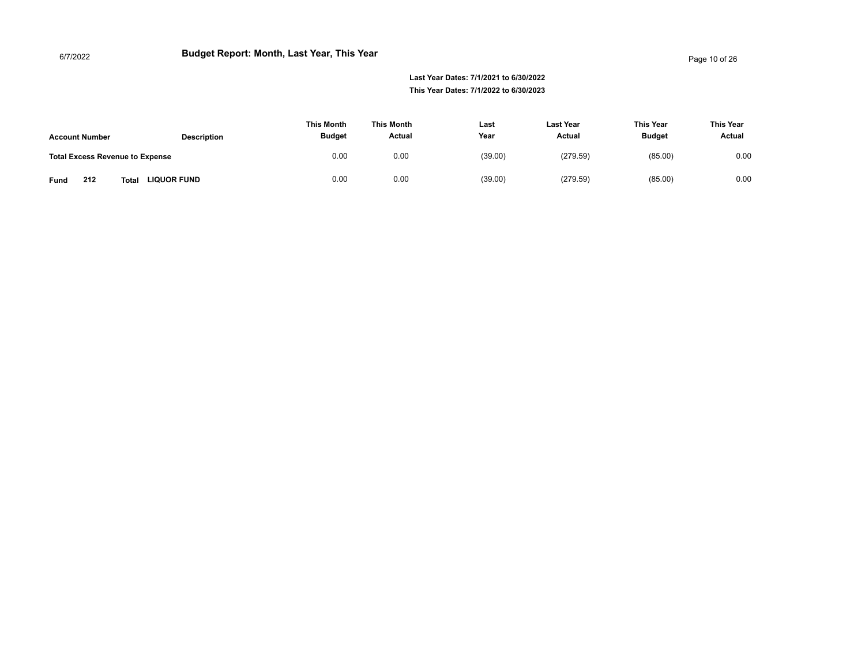|                                        |                             | <b>This Month</b> | This Month | Last    | <b>Last Year</b> | This Year     | This Year |
|----------------------------------------|-----------------------------|-------------------|------------|---------|------------------|---------------|-----------|
| <b>Account Number</b>                  | <b>Description</b>          | <b>Budget</b>     | Actual     | Year    | Actual           | <b>Budget</b> | Actual    |
| <b>Total Excess Revenue to Expense</b> |                             | 0.00              | 0.00       | (39.00) | (279.59)         | (85.00)       | 0.00      |
| 212<br>Fund                            | <b>LIQUOR FUND</b><br>Total | 0.00              | 0.00       | (39.00) | (279.59)         | (85.00)       | 0.00      |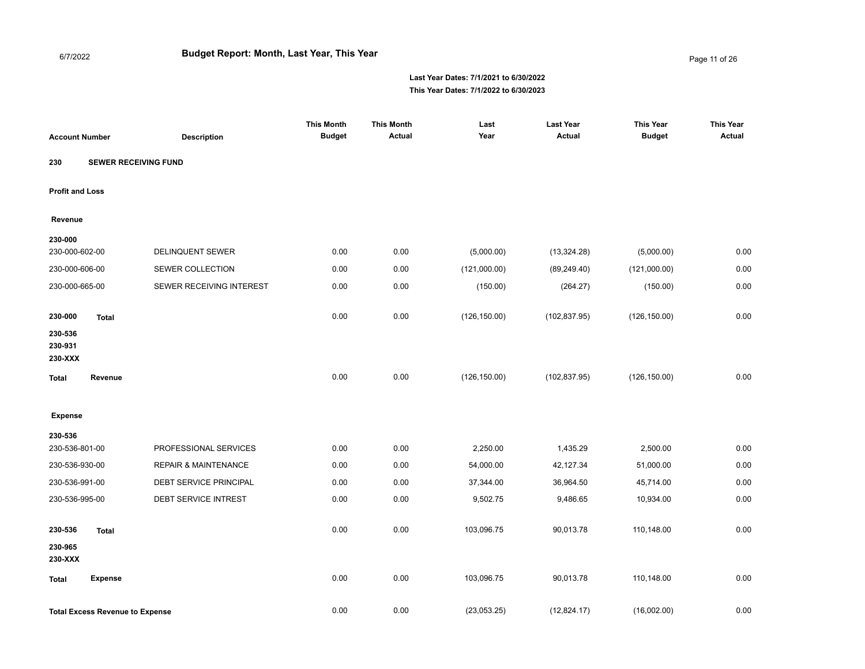Page 11 of 26

| <b>Account Number</b>         |                                        | <b>Description</b>              | <b>This Month</b><br><b>Budget</b> | <b>This Month</b><br>Actual | Last<br>Year  | <b>Last Year</b><br><b>Actual</b> | <b>This Year</b><br><b>Budget</b> | <b>This Year</b><br><b>Actual</b> |
|-------------------------------|----------------------------------------|---------------------------------|------------------------------------|-----------------------------|---------------|-----------------------------------|-----------------------------------|-----------------------------------|
| 230                           | <b>SEWER RECEIVING FUND</b>            |                                 |                                    |                             |               |                                   |                                   |                                   |
| <b>Profit and Loss</b>        |                                        |                                 |                                    |                             |               |                                   |                                   |                                   |
| Revenue                       |                                        |                                 |                                    |                             |               |                                   |                                   |                                   |
| 230-000                       |                                        |                                 |                                    |                             |               |                                   |                                   |                                   |
| 230-000-602-00                |                                        | <b>DELINQUENT SEWER</b>         | 0.00                               | 0.00                        | (5,000.00)    | (13, 324.28)                      | (5,000.00)                        | 0.00                              |
| 230-000-606-00                |                                        | SEWER COLLECTION                | 0.00                               | 0.00                        | (121,000.00)  | (89, 249.40)                      | (121,000.00)                      | 0.00                              |
| 230-000-665-00                |                                        | SEWER RECEIVING INTEREST        | 0.00                               | 0.00                        | (150.00)      | (264.27)                          | (150.00)                          | 0.00                              |
| 230-000                       | <b>Total</b>                           |                                 | 0.00                               | 0.00                        | (126, 150.00) | (102, 837.95)                     | (126, 150.00)                     | 0.00                              |
| 230-536<br>230-931<br>230-XXX |                                        |                                 |                                    |                             |               |                                   |                                   |                                   |
| <b>Total</b>                  | Revenue                                |                                 | 0.00                               | 0.00                        | (126, 150.00) | (102, 837.95)                     | (126, 150.00)                     | 0.00                              |
| <b>Expense</b>                |                                        |                                 |                                    |                             |               |                                   |                                   |                                   |
| 230-536                       |                                        |                                 |                                    |                             |               |                                   |                                   |                                   |
| 230-536-801-00                |                                        | PROFESSIONAL SERVICES           | 0.00                               | 0.00                        | 2,250.00      | 1,435.29                          | 2,500.00                          | 0.00                              |
| 230-536-930-00                |                                        | <b>REPAIR &amp; MAINTENANCE</b> | 0.00                               | 0.00                        | 54,000.00     | 42,127.34                         | 51,000.00                         | 0.00                              |
| 230-536-991-00                |                                        | DEBT SERVICE PRINCIPAL          | 0.00                               | 0.00                        | 37,344.00     | 36,964.50                         | 45,714.00                         | 0.00                              |
| 230-536-995-00                |                                        | DEBT SERVICE INTREST            | 0.00                               | 0.00                        | 9,502.75      | 9,486.65                          | 10,934.00                         | 0.00                              |
| 230-536                       | <b>Total</b>                           |                                 | 0.00                               | 0.00                        | 103,096.75    | 90,013.78                         | 110,148.00                        | 0.00                              |
| 230-965<br>230-XXX            |                                        |                                 |                                    |                             |               |                                   |                                   |                                   |
| <b>Total</b>                  | <b>Expense</b>                         |                                 | 0.00                               | 0.00                        | 103,096.75    | 90,013.78                         | 110,148.00                        | 0.00                              |
|                               | <b>Total Excess Revenue to Expense</b> |                                 | 0.00                               | 0.00                        | (23,053.25)   | (12, 824.17)                      | (16,002.00)                       | 0.00                              |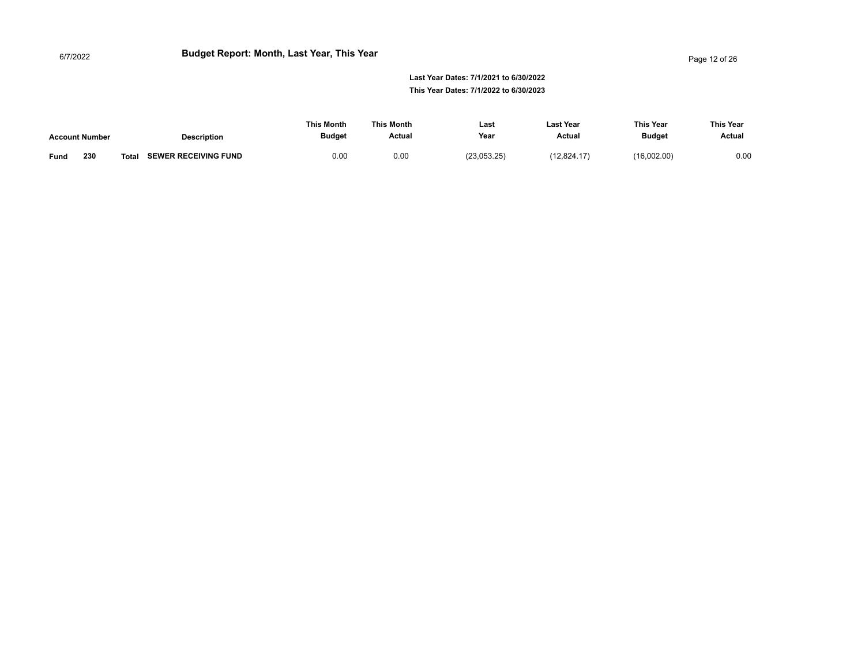#### Page 12 of 26

|                       |                                             | This Month    | This Month | Last        | <b>Last Year</b> | <b>This Year</b> | This Year |
|-----------------------|---------------------------------------------|---------------|------------|-------------|------------------|------------------|-----------|
| <b>Account Number</b> | <b>Description</b>                          | <b>Budget</b> | Actual     | Year        | Actual           | <b>Budget</b>    | Actual    |
| 230<br>Fund           | <b>SEWER RECEIVING FUND</b><br><b>Total</b> | 0.00          | 0.00       | (23,053.25) | (12, 824.17)     | (16.002.00)      | 0.00      |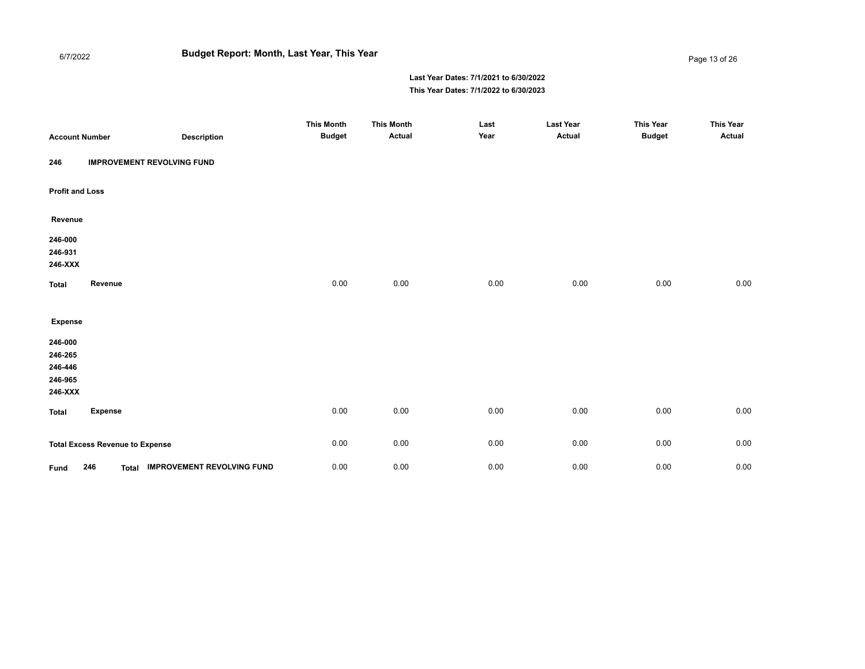#### 6/7/2022 **Budget Report: Month, Last Year, This Year**

#### Page 13 of 26

| <b>Account Number</b>                               |                                        | <b>Description</b>               | <b>This Month</b><br><b>Budget</b> | <b>This Month</b><br>Actual | Last<br>Year | <b>Last Year</b><br>Actual | <b>This Year</b><br><b>Budget</b> | <b>This Year</b><br><b>Actual</b> |
|-----------------------------------------------------|----------------------------------------|----------------------------------|------------------------------------|-----------------------------|--------------|----------------------------|-----------------------------------|-----------------------------------|
| 246                                                 | <b>IMPROVEMENT REVOLVING FUND</b>      |                                  |                                    |                             |              |                            |                                   |                                   |
| <b>Profit and Loss</b>                              |                                        |                                  |                                    |                             |              |                            |                                   |                                   |
| Revenue                                             |                                        |                                  |                                    |                             |              |                            |                                   |                                   |
| 246-000<br>246-931<br>246-XXX                       |                                        |                                  |                                    |                             |              |                            |                                   |                                   |
| <b>Total</b>                                        | Revenue                                |                                  | 0.00                               | 0.00                        | 0.00         | 0.00                       | 0.00                              | 0.00                              |
| <b>Expense</b>                                      |                                        |                                  |                                    |                             |              |                            |                                   |                                   |
| 246-000<br>246-265<br>246-446<br>246-965<br>246-XXX |                                        |                                  |                                    |                             |              |                            |                                   |                                   |
| <b>Total</b>                                        | <b>Expense</b>                         |                                  | 0.00                               | 0.00                        | 0.00         | 0.00                       | 0.00                              | 0.00                              |
|                                                     | <b>Total Excess Revenue to Expense</b> |                                  | 0.00                               | 0.00                        | 0.00         | 0.00                       | 0.00                              | $0.00\,$                          |
| Fund                                                | 246                                    | Total IMPROVEMENT REVOLVING FUND | 0.00                               | 0.00                        | 0.00         | 0.00                       | 0.00                              | 0.00                              |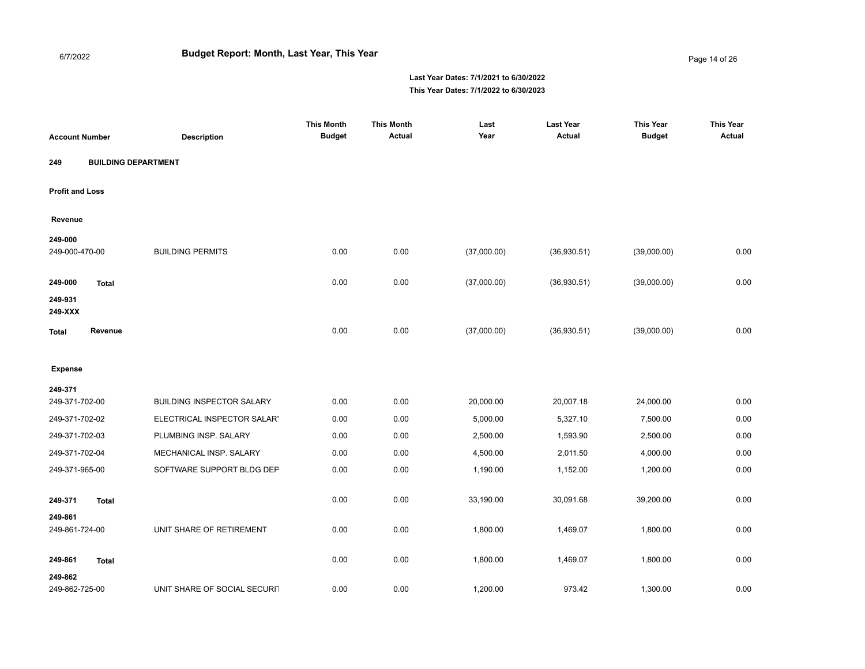Page 14 of 26

| <b>Account Number</b>     |                            | <b>Description</b>               | <b>This Month</b><br><b>Budget</b> | <b>This Month</b><br>Actual | Last<br>Year | <b>Last Year</b><br>Actual | <b>This Year</b><br><b>Budget</b> | <b>This Year</b><br><b>Actual</b> |
|---------------------------|----------------------------|----------------------------------|------------------------------------|-----------------------------|--------------|----------------------------|-----------------------------------|-----------------------------------|
| 249                       | <b>BUILDING DEPARTMENT</b> |                                  |                                    |                             |              |                            |                                   |                                   |
| <b>Profit and Loss</b>    |                            |                                  |                                    |                             |              |                            |                                   |                                   |
| Revenue                   |                            |                                  |                                    |                             |              |                            |                                   |                                   |
| 249-000<br>249-000-470-00 |                            | <b>BUILDING PERMITS</b>          | 0.00                               | 0.00                        | (37,000.00)  | (36,930.51)                | (39,000.00)                       | 0.00                              |
| 249-000                   | <b>Total</b>               |                                  | 0.00                               | 0.00                        | (37,000.00)  | (36,930.51)                | (39,000.00)                       | 0.00                              |
| 249-931<br>249-XXX        |                            |                                  |                                    |                             |              |                            |                                   |                                   |
| <b>Total</b>              | Revenue                    |                                  | 0.00                               | 0.00                        | (37,000.00)  | (36,930.51)                | (39,000.00)                       | 0.00                              |
| <b>Expense</b>            |                            |                                  |                                    |                             |              |                            |                                   |                                   |
| 249-371                   |                            |                                  |                                    |                             |              |                            |                                   |                                   |
| 249-371-702-00            |                            | <b>BUILDING INSPECTOR SALARY</b> | 0.00                               | 0.00                        | 20,000.00    | 20,007.18                  | 24,000.00                         | 0.00                              |
| 249-371-702-02            |                            | ELECTRICAL INSPECTOR SALARY      | 0.00                               | 0.00                        | 5,000.00     | 5,327.10                   | 7,500.00                          | 0.00                              |
| 249-371-702-03            |                            | PLUMBING INSP. SALARY            | 0.00                               | 0.00                        | 2,500.00     | 1,593.90                   | 2,500.00                          | 0.00                              |
| 249-371-702-04            |                            | MECHANICAL INSP. SALARY          | 0.00                               | 0.00                        | 4,500.00     | 2,011.50                   | 4,000.00                          | 0.00                              |
| 249-371-965-00            |                            | SOFTWARE SUPPORT BLDG DEP        | 0.00                               | 0.00                        | 1,190.00     | 1,152.00                   | 1,200.00                          | 0.00                              |
| 249-371                   | <b>Total</b>               |                                  | 0.00                               | 0.00                        | 33,190.00    | 30,091.68                  | 39,200.00                         | 0.00                              |
| 249-861<br>249-861-724-00 |                            | UNIT SHARE OF RETIREMENT         | 0.00                               | 0.00                        | 1,800.00     | 1,469.07                   | 1,800.00                          | 0.00                              |
| 249-861                   | <b>Total</b>               |                                  | 0.00                               | 0.00                        | 1,800.00     | 1,469.07                   | 1,800.00                          | 0.00                              |
| 249-862<br>249-862-725-00 |                            | UNIT SHARE OF SOCIAL SECURIT     | 0.00                               | 0.00                        | 1,200.00     | 973.42                     | 1,300.00                          | 0.00                              |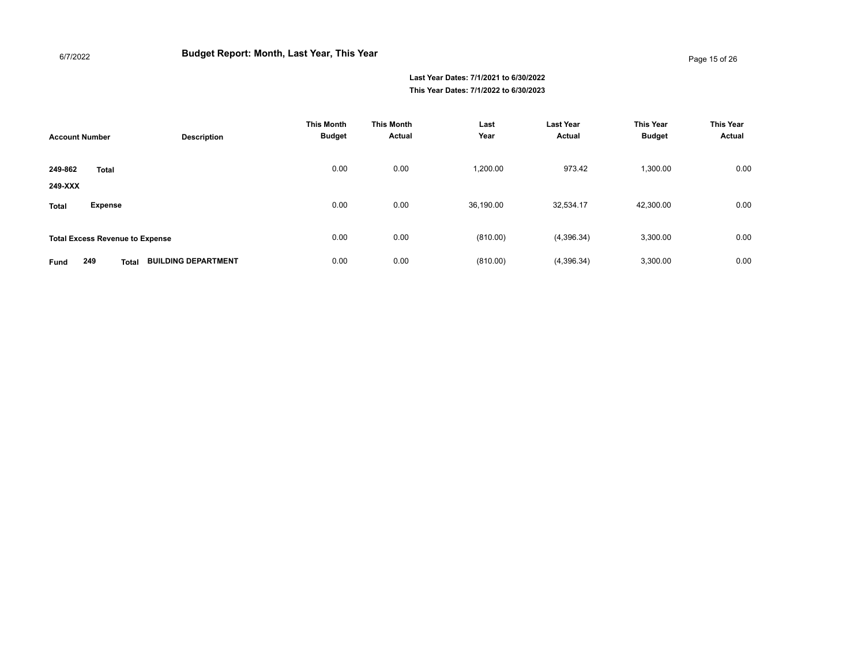| <b>Account Number</b>                  | <b>Description</b>         | <b>This Month</b><br><b>Budget</b> | <b>This Month</b><br>Actual | Last<br>Year | <b>Last Year</b><br>Actual | <b>This Year</b><br><b>Budget</b> | <b>This Year</b><br>Actual |
|----------------------------------------|----------------------------|------------------------------------|-----------------------------|--------------|----------------------------|-----------------------------------|----------------------------|
| 249-862<br><b>Total</b><br>249-XXX     |                            | 0.00                               | 0.00                        | 1,200.00     | 973.42                     | 1,300.00                          | 0.00                       |
| <b>Expense</b><br><b>Total</b>         |                            | 0.00                               | 0.00                        | 36,190.00    | 32,534.17                  | 42,300.00                         | 0.00                       |
| <b>Total Excess Revenue to Expense</b> |                            | 0.00                               | 0.00                        | (810.00)     | (4,396.34)                 | 3,300.00                          | 0.00                       |
| 249<br><b>Total</b><br>Fund            | <b>BUILDING DEPARTMENT</b> | 0.00                               | 0.00                        | (810.00)     | (4,396.34)                 | 3,300.00                          | 0.00                       |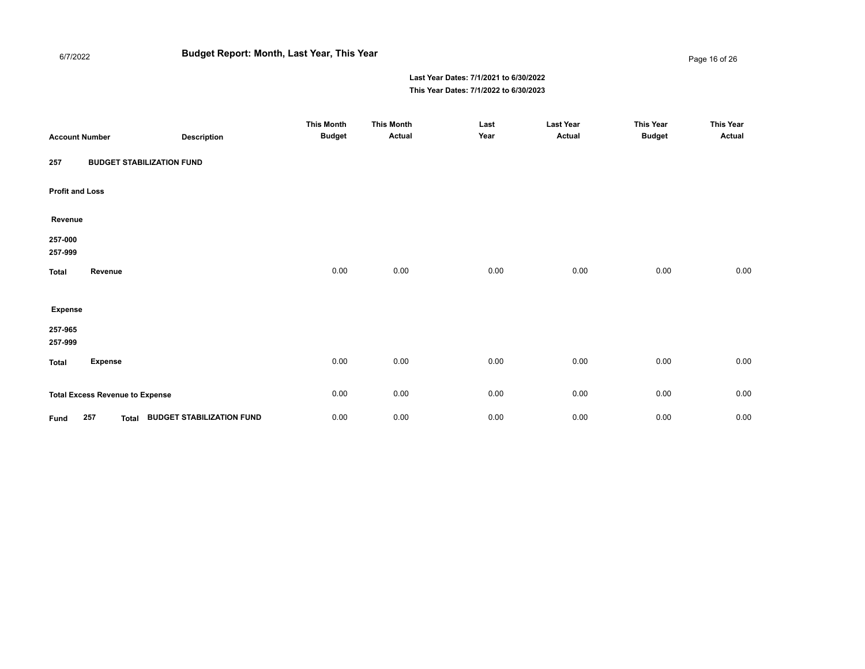# **Budget Report: Month, Last Year, This Year**

6/7/2022

#### Page 16 of 26

| <b>Account Number</b>  |                                        | <b>Description</b>               | <b>This Month</b><br><b>Budget</b> | <b>This Month</b><br>Actual | Last<br>Year | <b>Last Year</b><br>Actual | <b>This Year</b><br><b>Budget</b> | <b>This Year</b><br><b>Actual</b> |
|------------------------|----------------------------------------|----------------------------------|------------------------------------|-----------------------------|--------------|----------------------------|-----------------------------------|-----------------------------------|
| 257                    | <b>BUDGET STABILIZATION FUND</b>       |                                  |                                    |                             |              |                            |                                   |                                   |
| <b>Profit and Loss</b> |                                        |                                  |                                    |                             |              |                            |                                   |                                   |
| Revenue                |                                        |                                  |                                    |                             |              |                            |                                   |                                   |
| 257-000<br>257-999     |                                        |                                  |                                    |                             |              |                            |                                   |                                   |
| <b>Total</b>           | Revenue                                |                                  | 0.00                               | 0.00                        | 0.00         | 0.00                       | 0.00                              | 0.00                              |
| <b>Expense</b>         |                                        |                                  |                                    |                             |              |                            |                                   |                                   |
| 257-965<br>257-999     |                                        |                                  |                                    |                             |              |                            |                                   |                                   |
| <b>Total</b>           | <b>Expense</b>                         |                                  | 0.00                               | 0.00                        | 0.00         | 0.00                       | 0.00                              | 0.00                              |
|                        | <b>Total Excess Revenue to Expense</b> |                                  | 0.00                               | 0.00                        | 0.00         | 0.00                       | 0.00                              | 0.00                              |
| Fund                   | 257<br>Total                           | <b>BUDGET STABILIZATION FUND</b> | 0.00                               | 0.00                        | 0.00         | 0.00                       | 0.00                              | 0.00                              |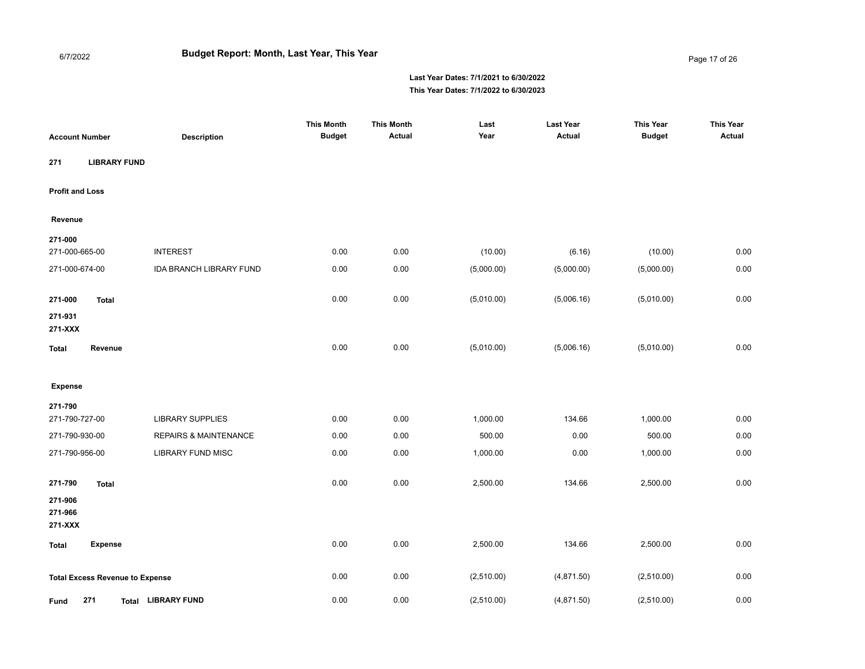Page 17 of 26

| <b>Account Number</b>                  | <b>Description</b>               | <b>This Month</b><br><b>Budget</b> | <b>This Month</b><br>Actual | Last<br>Year | <b>Last Year</b><br><b>Actual</b> | <b>This Year</b><br><b>Budget</b> | <b>This Year</b><br><b>Actual</b> |
|----------------------------------------|----------------------------------|------------------------------------|-----------------------------|--------------|-----------------------------------|-----------------------------------|-----------------------------------|
| 271<br><b>LIBRARY FUND</b>             |                                  |                                    |                             |              |                                   |                                   |                                   |
| <b>Profit and Loss</b>                 |                                  |                                    |                             |              |                                   |                                   |                                   |
| Revenue                                |                                  |                                    |                             |              |                                   |                                   |                                   |
| 271-000<br>271-000-665-00              | <b>INTEREST</b>                  | 0.00                               | 0.00                        | (10.00)      | (6.16)                            | (10.00)                           | 0.00                              |
| 271-000-674-00                         | <b>IDA BRANCH LIBRARY FUND</b>   | 0.00                               | 0.00                        | (5,000.00)   | (5,000.00)                        | (5,000.00)                        | 0.00                              |
| 271-000<br><b>Total</b><br>271-931     |                                  | 0.00                               | 0.00                        | (5,010.00)   | (5,006.16)                        | (5,010.00)                        | 0.00                              |
| 271-XXX                                |                                  |                                    |                             |              |                                   |                                   |                                   |
| Revenue<br>Total                       |                                  | 0.00                               | 0.00                        | (5,010.00)   | (5,006.16)                        | (5,010.00)                        | 0.00                              |
| <b>Expense</b>                         |                                  |                                    |                             |              |                                   |                                   |                                   |
| 271-790                                |                                  |                                    |                             |              |                                   |                                   |                                   |
| 271-790-727-00                         | <b>LIBRARY SUPPLIES</b>          | 0.00                               | 0.00                        | 1,000.00     | 134.66                            | 1,000.00                          | 0.00                              |
| 271-790-930-00                         | <b>REPAIRS &amp; MAINTENANCE</b> | 0.00                               | 0.00                        | 500.00       | 0.00                              | 500.00                            | 0.00                              |
| 271-790-956-00                         | <b>LIBRARY FUND MISC</b>         | 0.00                               | 0.00                        | 1,000.00     | 0.00                              | 1,000.00                          | 0.00                              |
| 271-790<br><b>Total</b>                |                                  | 0.00                               | 0.00                        | 2,500.00     | 134.66                            | 2,500.00                          | 0.00                              |
| 271-906<br>271-966<br>271-XXX          |                                  |                                    |                             |              |                                   |                                   |                                   |
| <b>Expense</b><br>Total                |                                  | 0.00                               | 0.00                        | 2,500.00     | 134.66                            | 2,500.00                          | 0.00                              |
| <b>Total Excess Revenue to Expense</b> |                                  | 0.00                               | 0.00                        | (2,510.00)   | (4,871.50)                        | (2,510.00)                        | 0.00                              |
| 271<br>Fund                            | <b>LIBRARY FUND</b><br>Total     | 0.00                               | 0.00                        | (2,510.00)   | (4,871.50)                        | (2,510.00)                        | 0.00                              |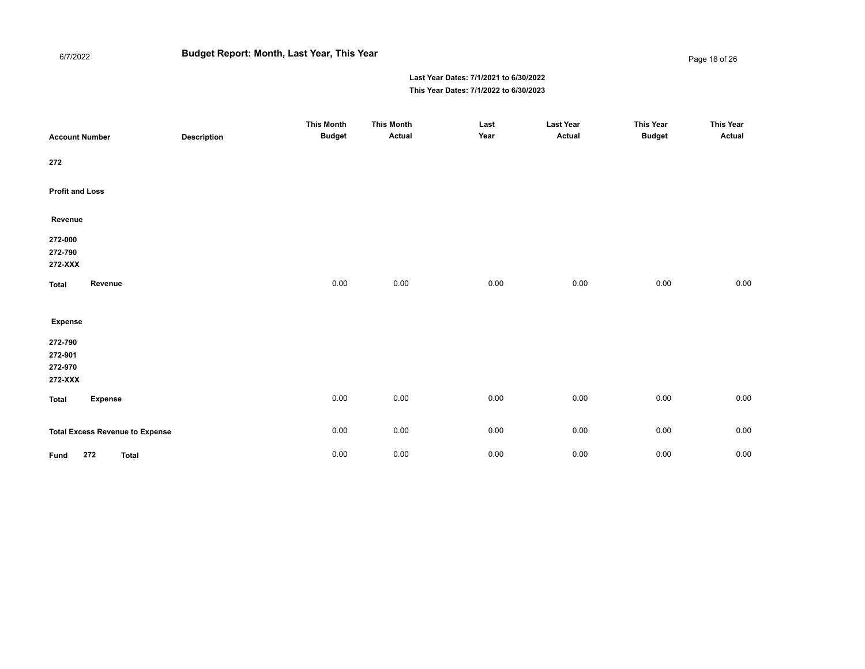# **Budget Report: Month, Last Year, This Year**

6/7/2022

Page 18 of 26

| <b>Account Number</b>                    |                                        | <b>Description</b> | <b>This Month</b><br><b>Budget</b> | <b>This Month</b><br>Actual | Last<br>Year | <b>Last Year</b><br>Actual | <b>This Year</b><br><b>Budget</b> | <b>This Year</b><br>Actual |
|------------------------------------------|----------------------------------------|--------------------|------------------------------------|-----------------------------|--------------|----------------------------|-----------------------------------|----------------------------|
| 272                                      |                                        |                    |                                    |                             |              |                            |                                   |                            |
| <b>Profit and Loss</b>                   |                                        |                    |                                    |                             |              |                            |                                   |                            |
| Revenue                                  |                                        |                    |                                    |                             |              |                            |                                   |                            |
| 272-000<br>272-790<br>272-XXX            |                                        |                    |                                    |                             |              |                            |                                   |                            |
| <b>Total</b>                             | Revenue                                |                    | 0.00                               | 0.00                        | 0.00         | 0.00                       | $0.00\,$                          | $0.00\,$                   |
| <b>Expense</b>                           |                                        |                    |                                    |                             |              |                            |                                   |                            |
| 272-790<br>272-901<br>272-970<br>272-XXX |                                        |                    |                                    |                             |              |                            |                                   |                            |
| <b>Total</b>                             | <b>Expense</b>                         |                    | 0.00                               | 0.00                        | 0.00         | 0.00                       | $0.00\,$                          | 0.00                       |
|                                          | <b>Total Excess Revenue to Expense</b> |                    | 0.00                               | 0.00                        | 0.00         | 0.00                       | $0.00\,$                          | $0.00\,$                   |
| Fund                                     | 272<br><b>Total</b>                    |                    | 0.00                               | 0.00                        | 0.00         | 0.00                       | $0.00\,$                          | 0.00                       |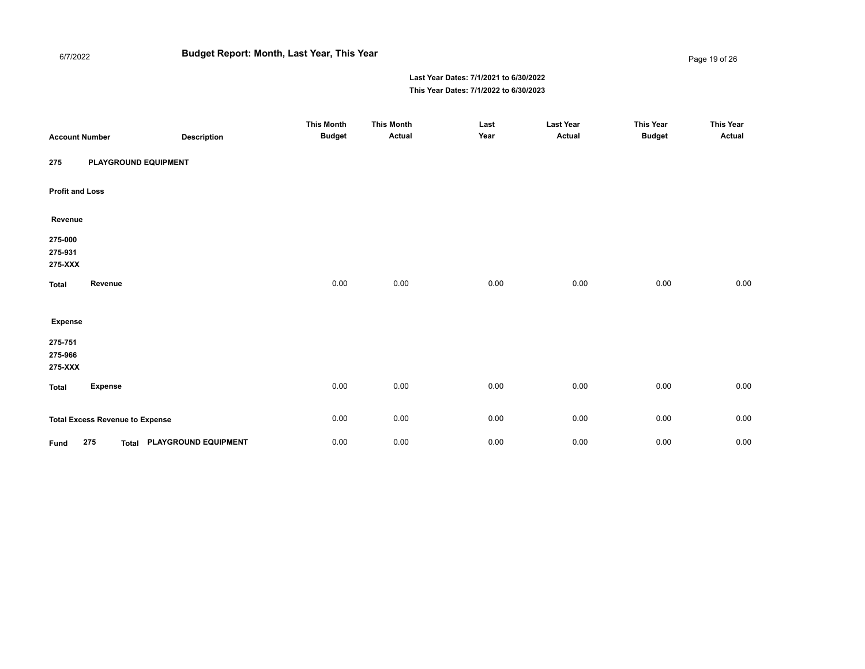# **Budget Report: Month, Last Year, This Year**

6/7/2022

Page 19 of 26

| <b>Account Number</b>         |                                        | <b>Description</b>         | <b>This Month</b><br><b>Budget</b> | <b>This Month</b><br><b>Actual</b> | Last<br>Year | <b>Last Year</b><br>Actual | <b>This Year</b><br><b>Budget</b> | <b>This Year</b><br><b>Actual</b> |
|-------------------------------|----------------------------------------|----------------------------|------------------------------------|------------------------------------|--------------|----------------------------|-----------------------------------|-----------------------------------|
| 275                           | PLAYGROUND EQUIPMENT                   |                            |                                    |                                    |              |                            |                                   |                                   |
| <b>Profit and Loss</b>        |                                        |                            |                                    |                                    |              |                            |                                   |                                   |
| Revenue                       |                                        |                            |                                    |                                    |              |                            |                                   |                                   |
| 275-000<br>275-931<br>275-XXX |                                        |                            |                                    |                                    |              |                            |                                   |                                   |
| <b>Total</b>                  | Revenue                                |                            | 0.00                               | 0.00                               | 0.00         | 0.00                       | 0.00                              | 0.00                              |
| <b>Expense</b>                |                                        |                            |                                    |                                    |              |                            |                                   |                                   |
| 275-751<br>275-966<br>275-XXX |                                        |                            |                                    |                                    |              |                            |                                   |                                   |
| <b>Total</b>                  | <b>Expense</b>                         |                            | 0.00                               | 0.00                               | 0.00         | 0.00                       | 0.00                              | 0.00                              |
|                               | <b>Total Excess Revenue to Expense</b> |                            | 0.00                               | 0.00                               | 0.00         | 0.00                       | 0.00                              | 0.00                              |
| Fund                          | 275                                    | Total PLAYGROUND EQUIPMENT | 0.00                               | 0.00                               | 0.00         | 0.00                       | 0.00                              | 0.00                              |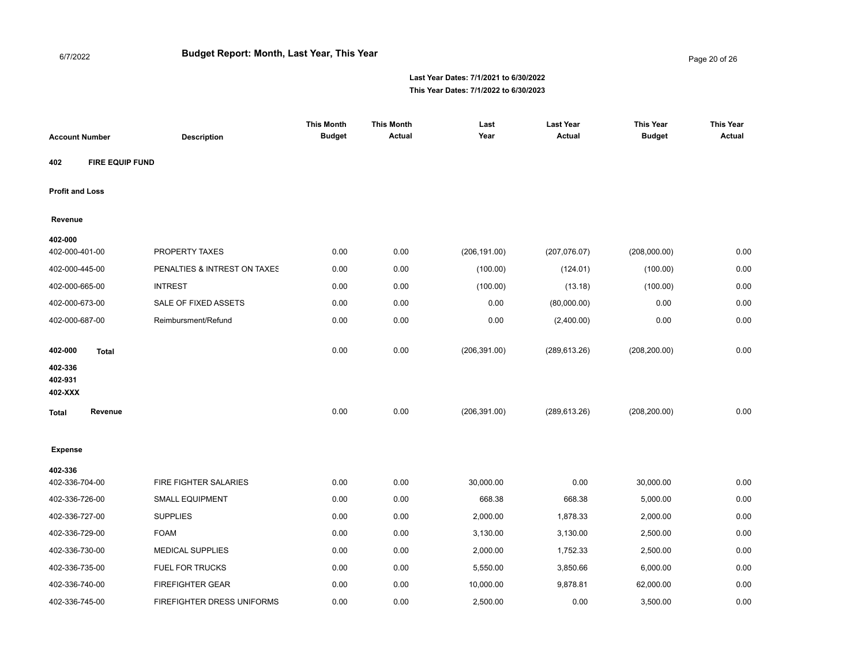Page 20 of 26

| <b>Account Number</b>  |                 | <b>Description</b>           | <b>This Month</b><br><b>Budget</b> | <b>This Month</b><br><b>Actual</b> | Last<br>Year  | <b>Last Year</b><br><b>Actual</b> | <b>This Year</b><br><b>Budget</b> | <b>This Year</b><br><b>Actual</b> |
|------------------------|-----------------|------------------------------|------------------------------------|------------------------------------|---------------|-----------------------------------|-----------------------------------|-----------------------------------|
| 402                    | FIRE EQUIP FUND |                              |                                    |                                    |               |                                   |                                   |                                   |
| <b>Profit and Loss</b> |                 |                              |                                    |                                    |               |                                   |                                   |                                   |
| Revenue                |                 |                              |                                    |                                    |               |                                   |                                   |                                   |
| 402-000                |                 |                              |                                    |                                    |               |                                   |                                   |                                   |
| 402-000-401-00         |                 | PROPERTY TAXES               | 0.00                               | 0.00                               | (206, 191.00) | (207, 076.07)                     | (208,000.00)                      | 0.00                              |
| 402-000-445-00         |                 | PENALTIES & INTREST ON TAXES | 0.00                               | 0.00                               | (100.00)      | (124.01)                          | (100.00)                          | 0.00                              |
| 402-000-665-00         |                 | <b>INTREST</b>               | 0.00                               | 0.00                               | (100.00)      | (13.18)                           | (100.00)                          | 0.00                              |
| 402-000-673-00         |                 | <b>SALE OF FIXED ASSETS</b>  | 0.00                               | 0.00                               | 0.00          | (80,000.00)                       | 0.00                              | 0.00                              |
| 402-000-687-00         |                 | Reimbursment/Refund          | 0.00                               | 0.00                               | 0.00          | (2,400.00)                        | 0.00                              | 0.00                              |
| 402-000                | <b>Total</b>    |                              | 0.00                               | 0.00                               | (206, 391.00) | (289, 613.26)                     | (208, 200.00)                     | 0.00                              |
| 402-336<br>402-931     |                 |                              |                                    |                                    |               |                                   |                                   |                                   |
| 402-XXX                |                 |                              |                                    |                                    |               |                                   |                                   |                                   |
| <b>Total</b>           | Revenue         |                              | 0.00                               | 0.00                               | (206, 391.00) | (289, 613.26)                     | (208, 200.00)                     | 0.00                              |
| <b>Expense</b>         |                 |                              |                                    |                                    |               |                                   |                                   |                                   |
| 402-336                |                 |                              |                                    |                                    |               |                                   |                                   |                                   |
| 402-336-704-00         |                 | FIRE FIGHTER SALARIES        | 0.00                               | 0.00                               | 30,000.00     | 0.00                              | 30,000.00                         | 0.00                              |
| 402-336-726-00         |                 | <b>SMALL EQUIPMENT</b>       | 0.00                               | 0.00                               | 668.38        | 668.38                            | 5,000.00                          | 0.00                              |
| 402-336-727-00         |                 | <b>SUPPLIES</b>              | 0.00                               | 0.00                               | 2,000.00      | 1,878.33                          | 2,000.00                          | 0.00                              |
| 402-336-729-00         |                 | <b>FOAM</b>                  | 0.00                               | 0.00                               | 3,130.00      | 3,130.00                          | 2,500.00                          | 0.00                              |
| 402-336-730-00         |                 | <b>MEDICAL SUPPLIES</b>      | 0.00                               | 0.00                               | 2,000.00      | 1,752.33                          | 2,500.00                          | 0.00                              |
| 402-336-735-00         |                 | <b>FUEL FOR TRUCKS</b>       | 0.00                               | 0.00                               | 5,550.00      | 3,850.66                          | 6,000.00                          | 0.00                              |
| 402-336-740-00         |                 | <b>FIREFIGHTER GEAR</b>      | 0.00                               | 0.00                               | 10,000.00     | 9,878.81                          | 62,000.00                         | 0.00                              |
| 402-336-745-00         |                 | FIREFIGHTER DRESS UNIFORMS   | 0.00                               | 0.00                               | 2,500.00      | 0.00                              | 3,500.00                          | 0.00                              |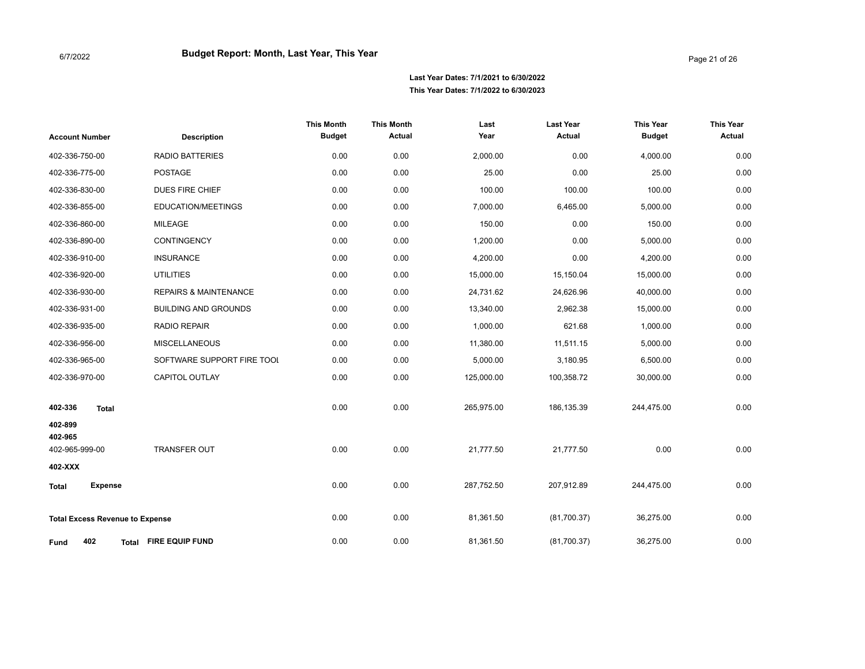| <b>Account Number</b>                     | <b>Description</b>               | <b>This Month</b><br><b>Budget</b> | <b>This Month</b><br><b>Actual</b> | Last<br>Year | <b>Last Year</b><br><b>Actual</b> | <b>This Year</b><br><b>Budget</b> | <b>This Year</b><br>Actual |
|-------------------------------------------|----------------------------------|------------------------------------|------------------------------------|--------------|-----------------------------------|-----------------------------------|----------------------------|
| 402-336-750-00                            | <b>RADIO BATTERIES</b>           | 0.00                               | 0.00                               | 2,000.00     | 0.00                              | 4,000.00                          | 0.00                       |
| 402-336-775-00                            | <b>POSTAGE</b>                   | 0.00                               | 0.00                               | 25.00        | 0.00                              | 25.00                             | 0.00                       |
| 402-336-830-00                            | DUES FIRE CHIEF                  | 0.00                               | 0.00                               | 100.00       | 100.00                            | 100.00                            | 0.00                       |
| 402-336-855-00                            | EDUCATION/MEETINGS               | 0.00                               | 0.00                               | 7,000.00     | 6,465.00                          | 5,000.00                          | 0.00                       |
| 402-336-860-00                            | <b>MILEAGE</b>                   | 0.00                               | 0.00                               | 150.00       | 0.00                              | 150.00                            | 0.00                       |
| 402-336-890-00                            | CONTINGENCY                      | 0.00                               | 0.00                               | 1,200.00     | 0.00                              | 5,000.00                          | 0.00                       |
| 402-336-910-00                            | <b>INSURANCE</b>                 | 0.00                               | 0.00                               | 4,200.00     | 0.00                              | 4,200.00                          | 0.00                       |
| 402-336-920-00                            | <b>UTILITIES</b>                 | 0.00                               | 0.00                               | 15,000.00    | 15,150.04                         | 15,000.00                         | 0.00                       |
| 402-336-930-00                            | <b>REPAIRS &amp; MAINTENANCE</b> | 0.00                               | 0.00                               | 24,731.62    | 24,626.96                         | 40,000.00                         | 0.00                       |
| 402-336-931-00                            | <b>BUILDING AND GROUNDS</b>      | 0.00                               | 0.00                               | 13,340.00    | 2,962.38                          | 15,000.00                         | 0.00                       |
| 402-336-935-00                            | <b>RADIO REPAIR</b>              | 0.00                               | 0.00                               | 1,000.00     | 621.68                            | 1,000.00                          | 0.00                       |
| 402-336-956-00                            | <b>MISCELLANEOUS</b>             | 0.00                               | 0.00                               | 11,380.00    | 11,511.15                         | 5,000.00                          | 0.00                       |
| 402-336-965-00                            | SOFTWARE SUPPORT FIRE TOOL       | 0.00                               | 0.00                               | 5,000.00     | 3,180.95                          | 6,500.00                          | 0.00                       |
| 402-336-970-00                            | <b>CAPITOL OUTLAY</b>            | 0.00                               | 0.00                               | 125,000.00   | 100,358.72                        | 30,000.00                         | 0.00                       |
| 402-336<br><b>Total</b><br>402-899        |                                  | 0.00                               | 0.00                               | 265,975.00   | 186,135.39                        | 244,475.00                        | 0.00                       |
| 402-965<br>402-965-999-00                 | <b>TRANSFER OUT</b>              | 0.00                               | 0.00                               | 21,777.50    | 21,777.50                         | 0.00                              | 0.00                       |
| 402-XXX<br><b>Expense</b><br><b>Total</b> |                                  | 0.00                               | 0.00                               | 287,752.50   | 207,912.89                        | 244,475.00                        | 0.00                       |
| <b>Total Excess Revenue to Expense</b>    | 0.00                             | 0.00                               | 81,361.50                          | (81,700.37)  | 36,275.00                         | 0.00                              |                            |
| 402<br><b>Fund</b><br>Total               | <b>FIRE EQUIP FUND</b>           | 0.00                               | 0.00                               | 81,361.50    | (81,700.37)                       | 36,275.00                         | 0.00                       |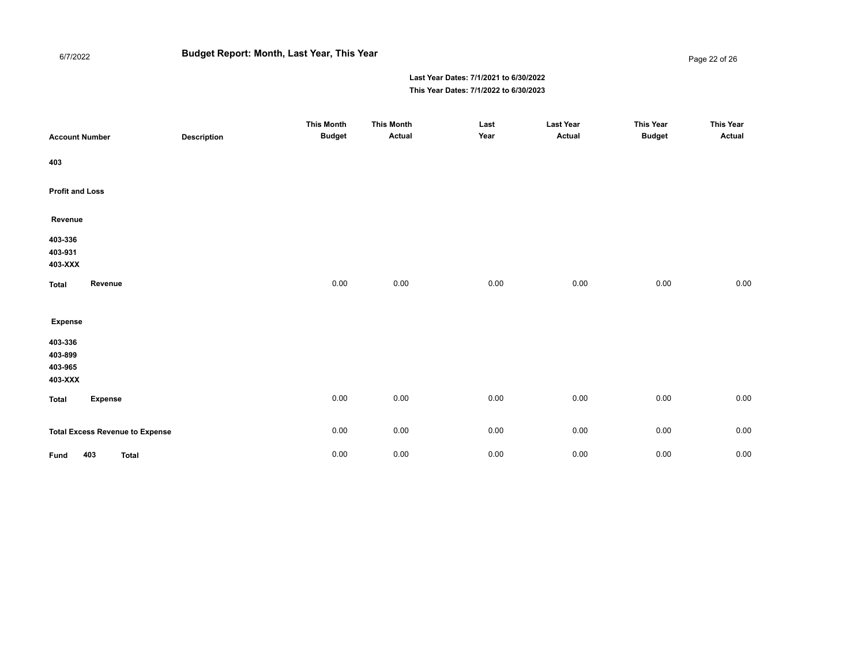# **Budget Report: Month, Last Year, This Year**

6/7/2022

#### Page 22 of 26

| <b>Account Number</b>                    | <b>Description</b> | <b>This Month</b><br><b>Budget</b> | <b>This Month</b><br>Actual | Last<br>Year | <b>Last Year</b><br>Actual | <b>This Year</b><br><b>Budget</b> | <b>This Year</b><br><b>Actual</b> |
|------------------------------------------|--------------------|------------------------------------|-----------------------------|--------------|----------------------------|-----------------------------------|-----------------------------------|
| 403                                      |                    |                                    |                             |              |                            |                                   |                                   |
| <b>Profit and Loss</b>                   |                    |                                    |                             |              |                            |                                   |                                   |
| Revenue                                  |                    |                                    |                             |              |                            |                                   |                                   |
| 403-336<br>403-931<br>403-XXX            |                    |                                    |                             |              |                            |                                   |                                   |
| Revenue<br><b>Total</b>                  |                    | 0.00                               | 0.00                        | 0.00         | 0.00                       | 0.00                              | 0.00                              |
| <b>Expense</b>                           |                    |                                    |                             |              |                            |                                   |                                   |
| 403-336<br>403-899<br>403-965<br>403-XXX |                    |                                    |                             |              |                            |                                   |                                   |
| <b>Expense</b><br>Total                  |                    | $0.00\,$                           | 0.00                        | 0.00         | 0.00                       | 0.00                              | 0.00                              |
| <b>Total Excess Revenue to Expense</b>   |                    | 0.00                               | 0.00                        | 0.00         | $0.00\,$                   | 0.00                              | 0.00                              |
| 403<br><b>Total</b><br>Fund              |                    | 0.00                               | 0.00                        | 0.00         | 0.00                       | 0.00                              | 0.00                              |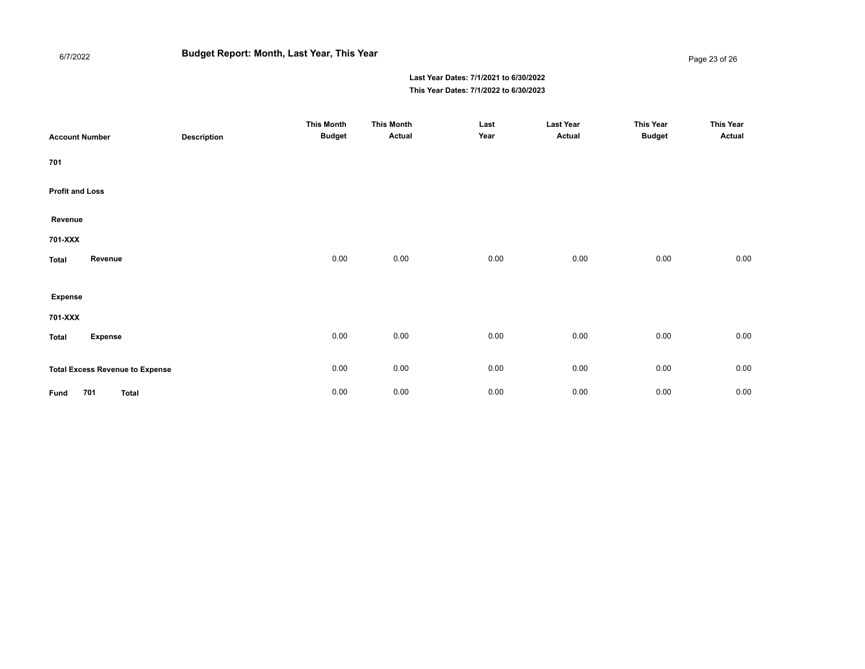# **Budget Report: Month, Last Year, This Year**

#### Page 23 of 26

| <b>Account Number</b>  |                                        | <b>Description</b> | <b>This Month</b><br><b>Budget</b> | <b>This Month</b><br>Actual | Last<br>Year | <b>Last Year</b><br>Actual | <b>This Year</b><br><b>Budget</b> | <b>This Year</b><br>Actual |
|------------------------|----------------------------------------|--------------------|------------------------------------|-----------------------------|--------------|----------------------------|-----------------------------------|----------------------------|
| 701                    |                                        |                    |                                    |                             |              |                            |                                   |                            |
| <b>Profit and Loss</b> |                                        |                    |                                    |                             |              |                            |                                   |                            |
| Revenue                |                                        |                    |                                    |                             |              |                            |                                   |                            |
| 701-XXX                |                                        |                    |                                    |                             |              |                            |                                   |                            |
| <b>Total</b>           | Revenue                                |                    | 0.00                               | 0.00                        | 0.00         | 0.00                       | 0.00                              | 0.00                       |
|                        |                                        |                    |                                    |                             |              |                            |                                   |                            |
| <b>Expense</b>         |                                        |                    |                                    |                             |              |                            |                                   |                            |
| 701-XXX                |                                        |                    |                                    |                             |              |                            |                                   |                            |
| Total                  | <b>Expense</b>                         |                    | 0.00                               | 0.00                        | 0.00         | 0.00                       | 0.00                              | 0.00                       |
|                        | <b>Total Excess Revenue to Expense</b> |                    | 0.00                               | 0.00                        | 0.00         | 0.00                       | 0.00                              | 0.00                       |
| Fund                   | 701<br><b>Total</b>                    |                    | 0.00                               | 0.00                        | 0.00         | 0.00                       | $0.00\,$                          | $0.00\,$                   |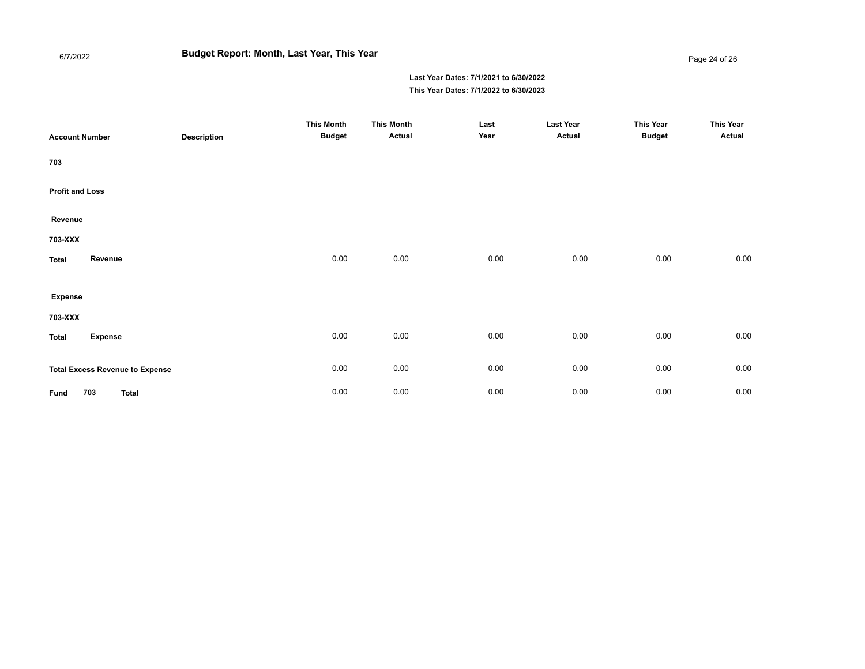# **Budget Report: Month, Last Year, This Year**

Page 24 of 26

| <b>Account Number</b>  |                                        | <b>Description</b> | <b>This Month</b><br><b>Budget</b> | <b>This Month</b><br>Actual | Last<br>Year | <b>Last Year</b><br>Actual | <b>This Year</b><br><b>Budget</b> | <b>This Year</b><br>Actual |
|------------------------|----------------------------------------|--------------------|------------------------------------|-----------------------------|--------------|----------------------------|-----------------------------------|----------------------------|
| 703                    |                                        |                    |                                    |                             |              |                            |                                   |                            |
| <b>Profit and Loss</b> |                                        |                    |                                    |                             |              |                            |                                   |                            |
| Revenue                |                                        |                    |                                    |                             |              |                            |                                   |                            |
| 703-XXX                |                                        |                    |                                    |                             |              |                            |                                   |                            |
| <b>Total</b>           | Revenue                                |                    | 0.00                               | 0.00                        | 0.00         | 0.00                       | 0.00                              | 0.00                       |
| <b>Expense</b>         |                                        |                    |                                    |                             |              |                            |                                   |                            |
| 703-XXX                |                                        |                    |                                    |                             |              |                            |                                   |                            |
| <b>Total</b>           | <b>Expense</b>                         |                    | 0.00                               | 0.00                        | 0.00         | 0.00                       | 0.00                              | $0.00\,$                   |
|                        | <b>Total Excess Revenue to Expense</b> |                    | 0.00                               | 0.00                        | 0.00         | 0.00                       | 0.00                              | 0.00                       |
| Fund                   | 703<br><b>Total</b>                    |                    | 0.00                               | 0.00                        | 0.00         | 0.00                       | $0.00\,$                          | 0.00                       |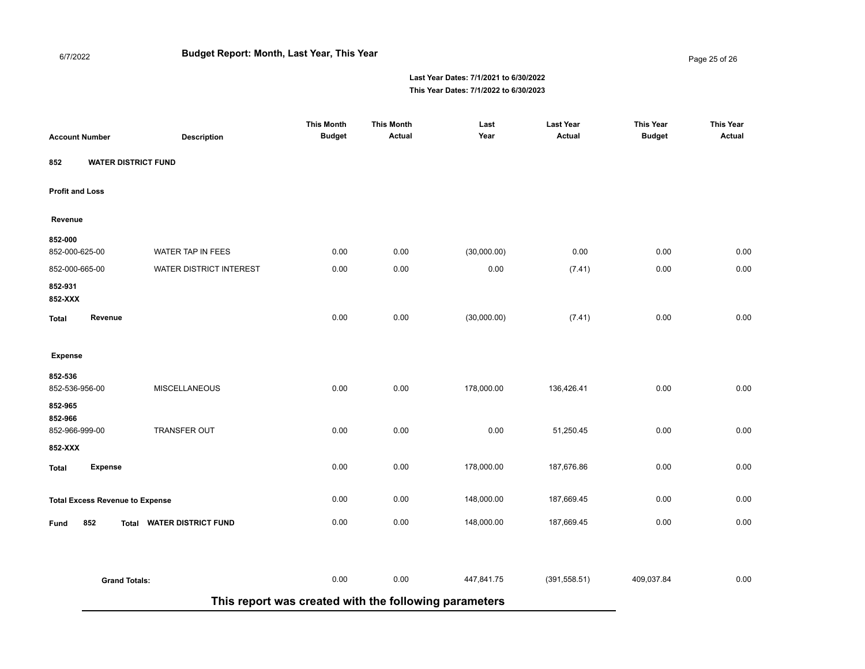#### Page 25 of 26

| <b>Account Number</b>                  | <b>Description</b>         | <b>This Month</b><br><b>Budget</b>                    | <b>This Month</b><br>Actual | Last<br>Year | <b>Last Year</b><br><b>Actual</b> | <b>This Year</b><br><b>Budget</b> | <b>This Year</b><br><b>Actual</b> |
|----------------------------------------|----------------------------|-------------------------------------------------------|-----------------------------|--------------|-----------------------------------|-----------------------------------|-----------------------------------|
| <b>WATER DISTRICT FUND</b><br>852      |                            |                                                       |                             |              |                                   |                                   |                                   |
| <b>Profit and Loss</b>                 |                            |                                                       |                             |              |                                   |                                   |                                   |
| Revenue                                |                            |                                                       |                             |              |                                   |                                   |                                   |
| 852-000<br>852-000-625-00              | WATER TAP IN FEES          | 0.00                                                  | 0.00                        | (30,000.00)  | 0.00                              | 0.00                              | 0.00                              |
| 852-000-665-00                         | WATER DISTRICT INTEREST    | 0.00                                                  | 0.00                        | 0.00         | (7.41)                            | 0.00                              | 0.00                              |
| 852-931<br>852-XXX                     |                            |                                                       |                             |              |                                   |                                   |                                   |
| Revenue<br>Total                       |                            | 0.00                                                  | 0.00                        | (30,000.00)  | (7.41)                            | 0.00                              | 0.00                              |
| <b>Expense</b>                         |                            |                                                       |                             |              |                                   |                                   |                                   |
| 852-536<br>852-536-956-00              | <b>MISCELLANEOUS</b>       | 0.00                                                  | 0.00                        | 178,000.00   | 136,426.41                        | 0.00                              | 0.00                              |
| 852-965<br>852-966<br>852-966-999-00   | <b>TRANSFER OUT</b>        | 0.00                                                  | 0.00                        | 0.00         | 51,250.45                         | 0.00                              | 0.00                              |
| 852-XXX                                |                            |                                                       |                             |              |                                   |                                   |                                   |
| <b>Expense</b><br><b>Total</b>         |                            | 0.00                                                  | 0.00                        | 178,000.00   | 187,676.86                        | 0.00                              | 0.00                              |
| <b>Total Excess Revenue to Expense</b> |                            | 0.00                                                  | 0.00                        | 148,000.00   | 187,669.45                        | 0.00                              | 0.00                              |
| 852<br>Fund<br>Total                   | <b>WATER DISTRICT FUND</b> | 0.00                                                  | 0.00                        | 148,000.00   | 187,669.45                        | 0.00                              | 0.00                              |
|                                        |                            |                                                       |                             |              |                                   |                                   |                                   |
| <b>Grand Totals:</b>                   |                            | 0.00                                                  | 0.00                        | 447,841.75   | (391, 558.51)                     | 409,037.84                        | 0.00                              |
|                                        |                            | This report was created with the following parameters |                             |              |                                   |                                   |                                   |